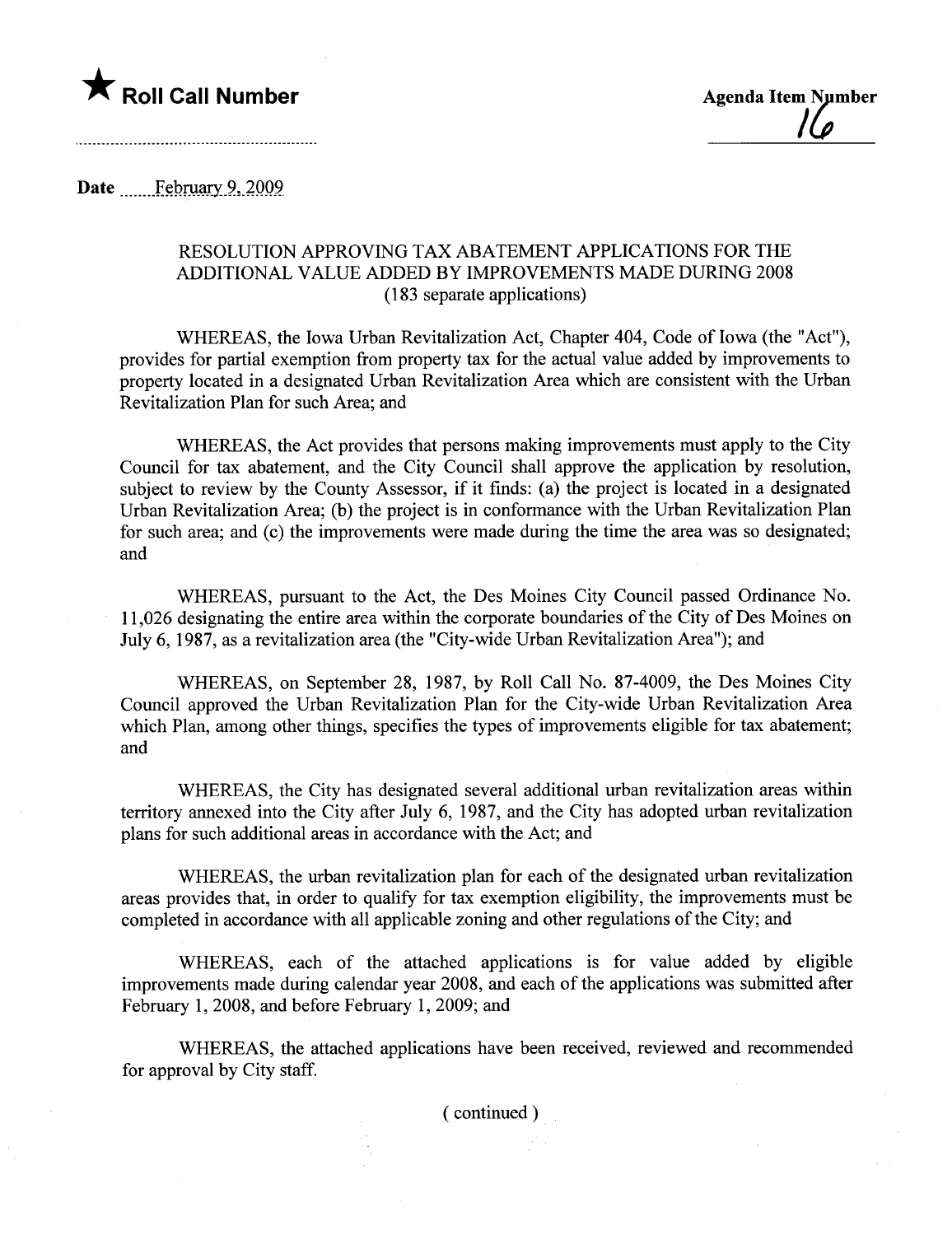

Date February 9, 2009

 $\bar{z}$ 

## RESOLUTION APPROVING TAX ABATEMENT APPLICATIONS FOR THE ADDITIONAL VALUE ADDED BY IMPROVEMENTS MADE DURING 2008 (183 separate applications)

WHEREAS, the Iowa Urban Revitalization Act, Chapter 404, Code of Iowa (the "Act"), provides for parial exemption from property tax for the actual value added by improvements to property located in a designated Urban Revitalization Area which are consistent with the Urban Revitalization Plan for such Area; and

WHEREAS, the Act provides that persons making improvements must apply to the City Council for tax abatement, and the City Council shall approve the application by resolution, subject to review by the County Assessor, if it finds: (a) the project is located in a designated Urban Revitalization Area; (b) the project is in conformance with the Urban Revitalization Plan for such area; and (c) the improvements were made during the time the area was so designated; and

WHEREAS, pursuant to the Act, the Des Moines City Council passed Ordinance No. 11,026 designating the entire area within the corporate boundaries of the City of Des Moines on July 6, 1987, as a revitalization area (the "City-wide Urban Revitalization Area"); and

WHEREAS, on September 28, 1987, by Roll Call No. 87-4009, the Des Moines City Council approved the Urban Revitalization Plan for the City-wide Urban Revitalization Area which Plan, among other things, specifies the types of improvements eligible for tax abatement; and

WHEREAS, the City has designated several additional urban revitalization areas within territory anexed into the City after July 6, 1987, and the City has adopted urban revitalization plans for such additional areas in accordance with the Act; and

WHEREAS, the urban revitalization plan for each of the designated urban revitalization areas provides that, in order to qualify for tax exemption eligibility, the improvements must be completed in accordance with all applicable zoning and other regulations of the City; and

WHEREAS, each of the attached applications is for value added by eligible improvements made during calendar year 2008, and each of the applications was submitted after February 1,2008, and before February 1,2009; and

WHEREAS, the attached applications have been received, reviewed and recommended for approval by City staff.

( continued)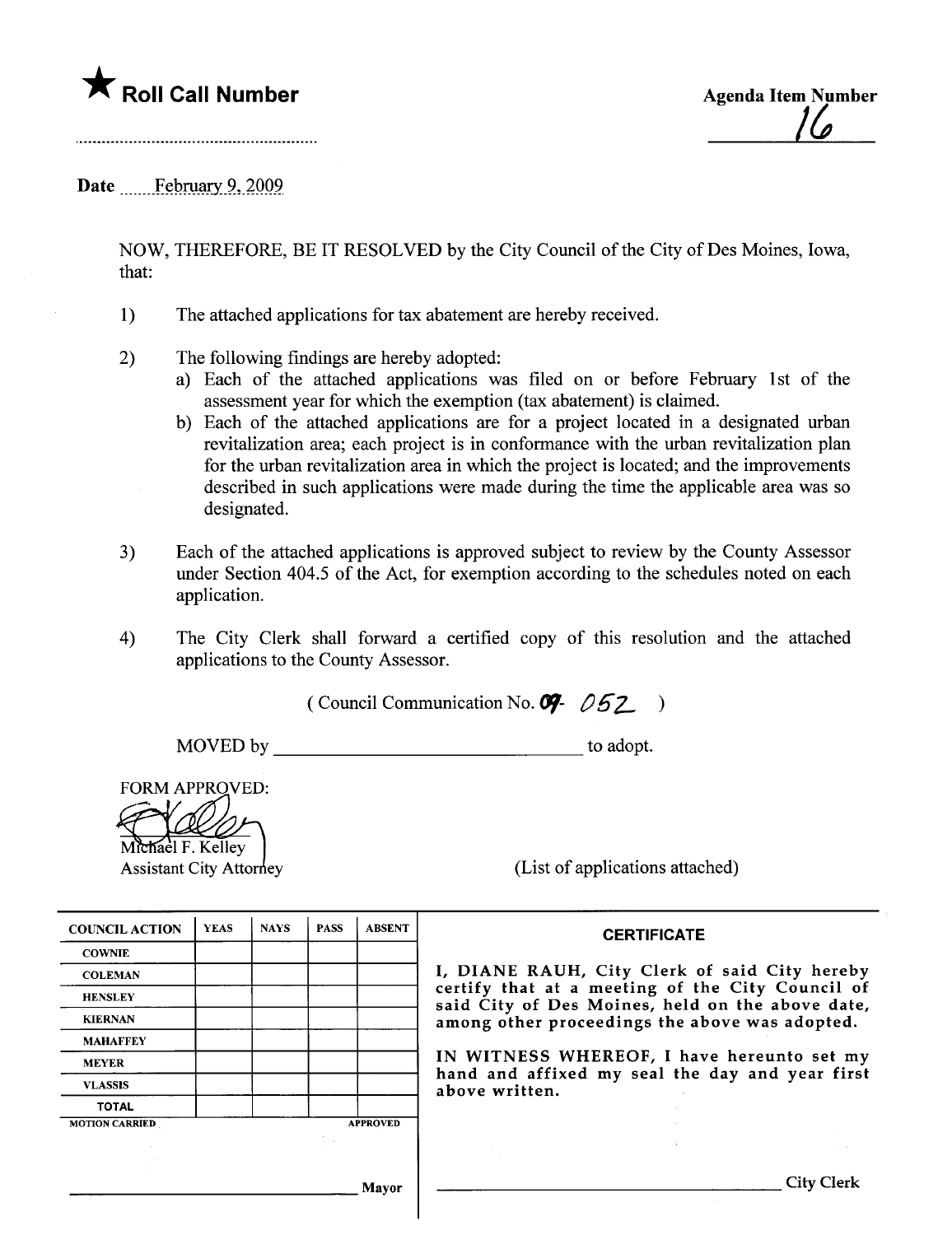

<u>| Lo</u>

Date February 9, 2009

NOW, THEREFORE, BE IT RESOLVED by the City Council of the City of Des Moines, Iowa, that:

- 1) The attached applications for tax abatement are hereby received.
- 2) The following findings are hereby adopted:
	- a) Each of the attached applications was fied on or before February 1st of the assessment year for which the exemption (tax abatement) is claimed.
	- b) Each of the attached applications are for a project located in a designated urban revitalization area; each project is in conformance with the urban revitalization plan for the urban revitalization area in which the project is located; and the improvements described in such applications were made during the time the applicable area was so designated.
- 3) Each of the attached applications is approved subject to review by the County Assessor under Section 404.5 of the Act, for exemption according to the schedules noted on each application.
- 4) The City Clerk shall forward a certified copy of this resolution and the attached applications to the County Assessor.

( Council Communication No.  $97 - 052$ )

MOVED by to adopt.

**FORM APPROVED:** 

Michael F. Kelley

Assistant City Attorney (List of applications attached)

| <b>COUNCIL ACTION</b> | <b>YEAS</b> | <b>NAYS</b> | <b>PASS</b> | <b>ABSENT</b>   | <b>CERTIFICATE</b>                                                                                 |
|-----------------------|-------------|-------------|-------------|-----------------|----------------------------------------------------------------------------------------------------|
| <b>COWNIE</b>         |             |             |             |                 |                                                                                                    |
| <b>COLEMAN</b>        |             |             |             |                 | I, DIANE RAUH, City Clerk of said City hereb                                                       |
| <b>HENSLEY</b>        |             |             |             |                 | certify that at a meeting of the City Council o<br>said City of Des Moines, held on the above date |
| <b>KIERNAN</b>        |             |             |             |                 | among other proceedings the above was adopted.                                                     |
| <b>MAHAFFEY</b>       |             |             |             |                 |                                                                                                    |
| <b>MEYER</b>          |             |             |             |                 | IN WITNESS WHEREOF, I have hereunto set m                                                          |
| <b>VLASSIS</b>        |             |             |             |                 | hand and affixed my seal the day and year firs<br>above written.                                   |
| <b>TOTAL</b>          |             |             |             |                 |                                                                                                    |
| <b>MOTION CARRIED</b> |             |             |             | <b>APPROVED</b> |                                                                                                    |
|                       |             |             |             |                 |                                                                                                    |
|                       |             |             |             |                 |                                                                                                    |
|                       |             |             |             |                 |                                                                                                    |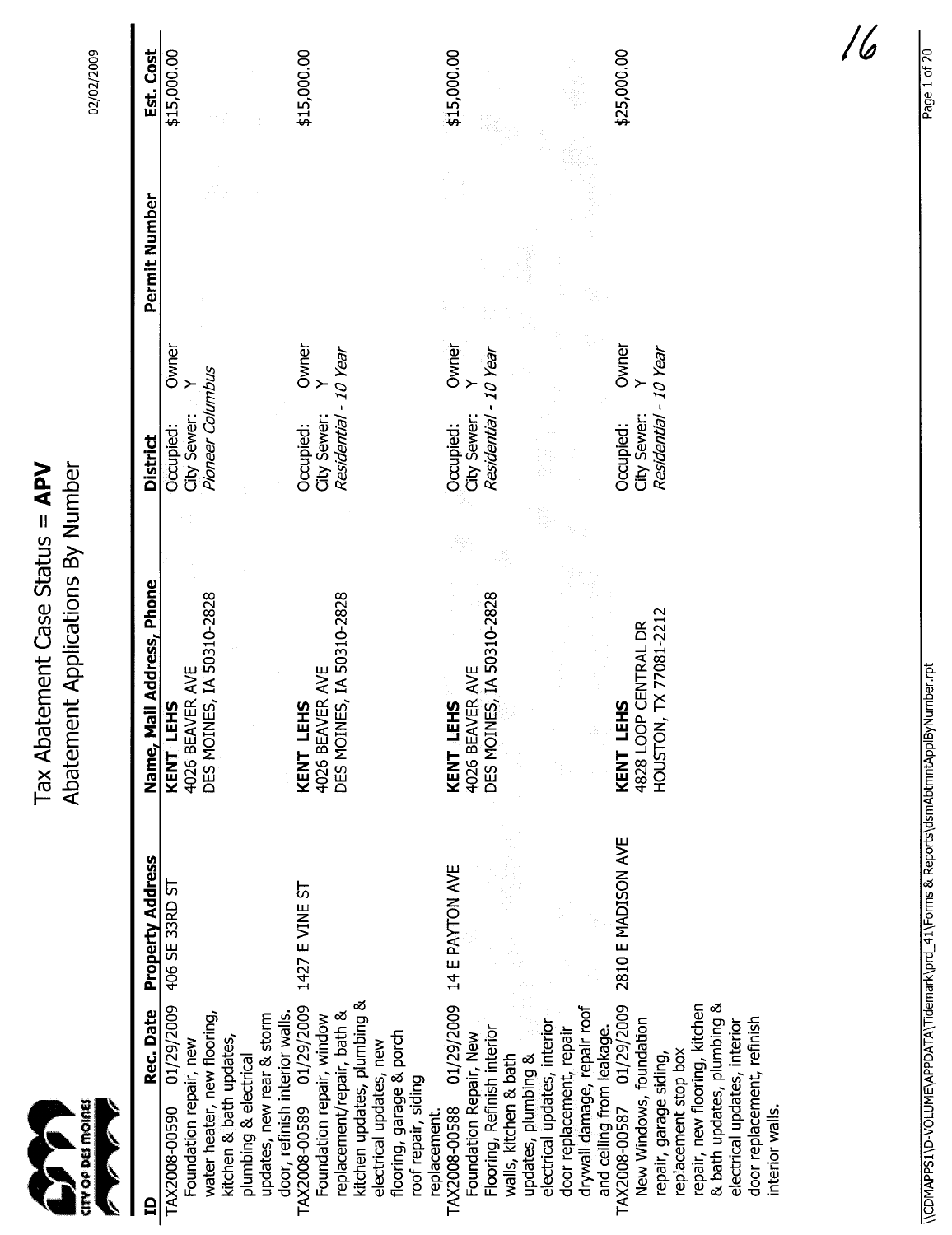| CITY OP DES MOINES                                                                                                                                                                                                                    |                    | Abatement Applications By Number<br>ement Case Status = APV<br>Tax Abat |                                                                 |               | 02/02/2009  |
|---------------------------------------------------------------------------------------------------------------------------------------------------------------------------------------------------------------------------------------|--------------------|-------------------------------------------------------------------------|-----------------------------------------------------------------|---------------|-------------|
| Rec. Date<br>白                                                                                                                                                                                                                        | Property Address   | Name, Mail Address, Phone                                               | <b>District</b>                                                 | Permit Number | Est. Cost   |
| 01/29/2009<br>water heater, new flooring,<br>kitchen & bath updates,<br>Foundation repair, new<br>TAX2008-00590                                                                                                                       | 406 SE 33RD ST     | DES MOINES, IA 50310-2828<br>4026 BEAVER AVE<br>KENT LEHS               | Owner<br>Pioneer Columbus<br>≻<br>City Sewer:<br>Occupied:      |               | \$15,000.00 |
| kitchen updates, plumbing &<br>TAX2008-00589 01/29/2009<br>replacement/repair, bath &<br>door, refinish interior walls.<br>updates, new rear & storm<br>Foundation repair, window<br>electrical updates, new<br>plumbing & electrical | 1427 E VINE ST     | DES MOINES, IA 50310-2828<br>4026 BEAVER AVE<br>KENT LEHS               | Owner<br>Y<br>Residential - 10 Year<br>City Sewer:<br>Occupied: |               | \$15,000.00 |
| 01/29/2009<br>Flooring, Refinish interior<br>flooring, garage & porch<br>Foundation Repair, New<br>walls, kitchen & bath<br>updates, plumbing &<br>roof repair, siding<br>TAX2008-00588<br>replacement.                               | 14 E PAYTON AVE    | DES MOINES, IA 50310-2828<br>4026 BEAVER AVE<br>KENT LEHS               | Owner<br>Residential - 10 Year<br>City Sewer:<br>Occupied:      |               | \$15,000.00 |
| 01/29/2009<br>drywall damage, repair roof<br>New Windows, foundation<br>electrical updates, interior<br>and ceiling from leakage.<br>TAX2008-00587 01/29/20<br>door replacement, repair<br>repair, garage siding,                     | 2810 E MADISON AVE | TX 77081-2212<br>4828 LOOP CENTRAL DR<br>KENT LEHS<br>HOUSTON,          | Owner<br>Residential - 10 Year<br>City Sewer:<br>Occupied:      |               | \$25,000.00 |
| & bath updates, plumbing &<br>repair, new flooring, kitchen<br>door replacement, refinish<br>electrical updates, interior<br>replacement stop box<br>interior walls.                                                                  |                    |                                                                         |                                                                 |               |             |

~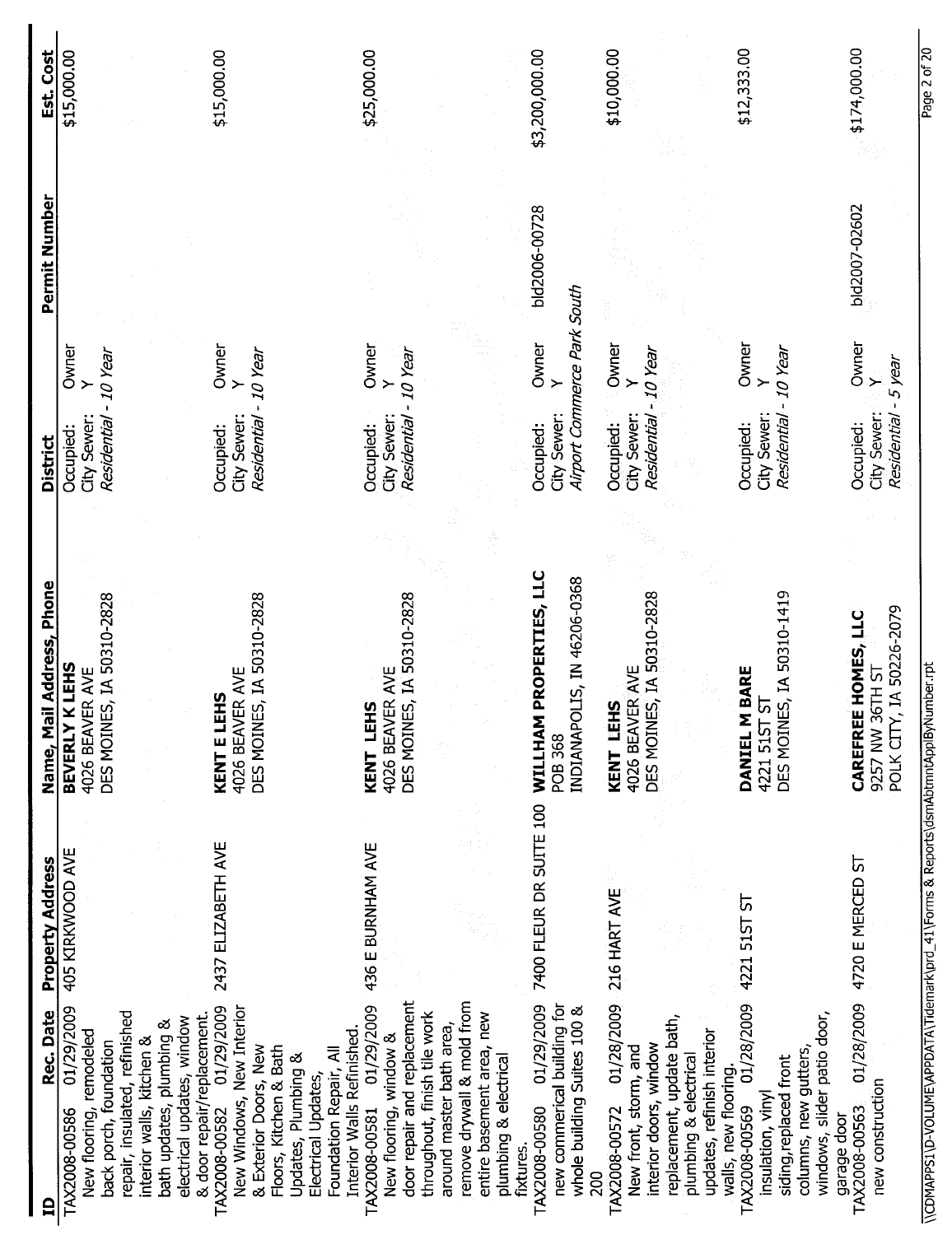| Est. Cost                 | \$15,000.00                                                                                                                                                                                                                            | \$15,000.00                                                                                                                                                                      | \$25,000.00                                                                                                                                                                                                                                                        | \$3,200,000.00                                                                                                | \$10,000.00                                                                                                                                                                                | \$12,333.00                                                                                                                        | \$174,000.00                                                                |
|---------------------------|----------------------------------------------------------------------------------------------------------------------------------------------------------------------------------------------------------------------------------------|----------------------------------------------------------------------------------------------------------------------------------------------------------------------------------|--------------------------------------------------------------------------------------------------------------------------------------------------------------------------------------------------------------------------------------------------------------------|---------------------------------------------------------------------------------------------------------------|--------------------------------------------------------------------------------------------------------------------------------------------------------------------------------------------|------------------------------------------------------------------------------------------------------------------------------------|-----------------------------------------------------------------------------|
| Permit Number             |                                                                                                                                                                                                                                        |                                                                                                                                                                                  |                                                                                                                                                                                                                                                                    | bld2006-00728                                                                                                 |                                                                                                                                                                                            |                                                                                                                                    | bld2007-02602                                                               |
| <b>District</b>           | Owner<br>- 10 Year<br>$\rightarrow$<br>Residential<br>City Sewer<br>Occupied:                                                                                                                                                          | Owner<br>- 10 Year<br><b>Residential</b><br>City Sewer:<br>Occupied:                                                                                                             | <b>Owner</b><br>- 10 Year<br>City Sewer:<br>Residential<br>Occupied:                                                                                                                                                                                               | Airport Commerce Park South<br>Owner<br>$\left. \right.$<br>City Sewer:<br>Occupied:                          | Owner<br>$-10$ Year<br>≻<br>City Sewer:<br>Residential<br>Occupied:                                                                                                                        | Owner<br>10 Year<br>Residential<br>City Sewer<br>Occupied:                                                                         | Owner<br>Y<br>5 year<br>City Sewer:<br>Residential<br>Occupied:             |
| Name, Mail Address, Phone | DES MOINES, IA 50310-2828<br>BEVERLY K LEHS<br>4026 BEAVER AVE                                                                                                                                                                         | DES MOINES, IA 50310-2828<br>4026 BEAVER AVE<br>KENT E LEHS                                                                                                                      | DES MOINES, IA 50310-2828<br>4026 BEAVER AVE<br>KENT LEHS                                                                                                                                                                                                          | WILLHAM PROPERTIES, LLC<br>INDIANAPOLIS, IN 46206-0368<br>POB 368                                             | DES MOINES, IA 50310-2828<br>4026 BEAVER AVE<br>KENT LEHS                                                                                                                                  | DES MOINES, IA 50310-1419<br>DANIEL M BARE<br><u>ს</u><br>4221 515T                                                                | /, IA 50226-2079<br>E HOMES, LLC<br>9257 NW 36TH ST<br>CAREFRE<br>POLK CITY |
| <b>Property Address</b>   | 405 KIRKWOOD AVE                                                                                                                                                                                                                       | 2437 ELIZABETH AVE                                                                                                                                                               | 436 E BURNHAM AVE                                                                                                                                                                                                                                                  | 7400 FLEUR DR SUITE 100                                                                                       | 216 HART AVE                                                                                                                                                                               | 4221 51ST ST                                                                                                                       | 4720 E MERCED ST                                                            |
| Rec. Date<br>$\mathbf{a}$ | 01/29/2009<br>repair, insulated, refinished<br>& door repair/replacement.<br>electrical updates, window<br>bath updates, plumbing &<br>New flooring, remodeled<br>interior walls, kitchen &<br>back porch, foundation<br>TAX2008-00586 | TAX2008-00582 01/29/2009<br>New Windows, New Interior<br>& Exterior Doors, New<br>Floors, Kitchen & Bath<br>Foundation Repair, All<br>Updates, Plumbing &<br>Electrical Updates, | door repair and replacement<br>remove drywall & mold from<br>01/29/2009<br>throughout, finish tile work<br>entire basement area, new<br>around master bath area,<br>Interior Walls Refinished.<br>New flooring, window &<br>plumbing & electrical<br>TAX2008-00581 | 01/29/2009<br>new commerical building for<br>whole building Suites 100 &<br>TAX2008-00580<br>fixtures.<br>200 | 01/28/2009<br>replacement, update bath,<br>updates, refinish interior<br>interior doors, window<br>New front, storm, and<br>plumbing & electrical<br>walls, new flooring.<br>TAX2008-00572 | 01/28/2009<br>windows, slider patio door,<br>columns, new gutters,<br>siding, replaced front<br>insulation, vinyl<br>TAX2008-00569 | 01/28/2009<br>new construction<br>TAX2008-00563<br>garage door              |

\\CDMAPPS1\D-VOLUME\APPDATA\Tidemark\prd\_41\Forms & Reports\dsmAbtmntApplByNumber.rpt  $\setminus$ CDMAPPSL  $\setminus$ D-VOLUME $\setminus$ APPDATA  $\setminus$ Reports $\setminus$ Altidemark $\setminus$ Apple $\setminus$ Apple $\setminus$ 

Page 2 of 20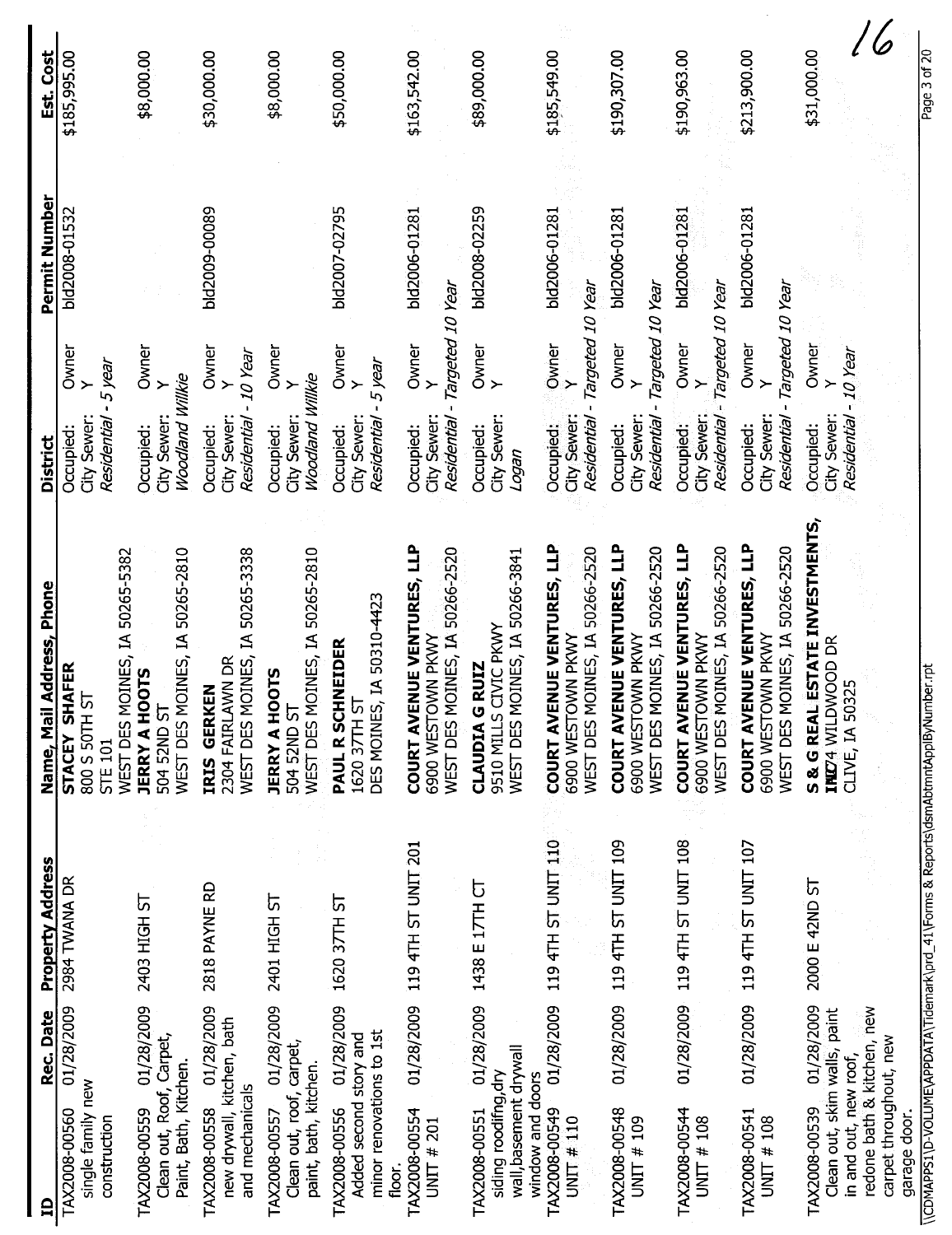| Rec. Date<br>≘                                                                                                                               | Property Address    | <u>il Address, Phone</u><br>Name, Mai                                                                  | District                                                                             | Permit Number | Est. Cost    |
|----------------------------------------------------------------------------------------------------------------------------------------------|---------------------|--------------------------------------------------------------------------------------------------------|--------------------------------------------------------------------------------------|---------------|--------------|
| 01/28/2009<br>single family new<br>TAX2008-00560<br>construction                                                                             | 2984 TWANA DR       | MOINES, IA 50265-5382<br>STACEY SHAFER<br>5<br>800 S 50TH<br><b>WEST DES</b><br><b>STE 101</b>         | Owner<br>5 year<br>City Sewer:<br>Residential<br>Occupied:                           | bld2008-01532 | \$185,995.00 |
| 01/28/2009<br>Clean out, Roof, Carpet,<br>Paint, Bath, Kitchen.<br>TAX2008-00559                                                             | 2403 HIGH ST        | WEST DES MOINES, IA 50265-2810<br><b>JERRY A HOOTS</b><br>504 52ND ST                                  | Owner<br>Woodland Willkie<br>≻<br>City Sewer:<br>Occupied:                           |               | \$8,000.00   |
| 01/28/2009<br>new drywall, kitchen, bath<br>and mechanicals<br>TAX2008-00558                                                                 | 2818 PAYNE RD       | WEST DES MOINES, IA 50265-3338<br>2304 FAIRLAWN DR<br>GERKEN<br><b>IRIS</b>                            | Owner<br>- 10 Year<br>City Sewer:<br>Residential<br>Occupied:                        | bld2009-00089 | \$30,000.00  |
| 01/28/2009<br>Clean out, roof, carpet,<br>paint, bath, kitchen.<br>TAX2008-00557                                                             | 2401 HIGH ST        | WEST DES MOINES, IA 50265-2810<br><b>JERRY A HOOTS</b><br>504 52ND ST                                  | Owner<br>Woodland Willkie<br>$\succ$<br>City Sewer:<br>Occupied:                     |               | \$8,000.00   |
| 01/28/2009<br>minor renovations to 1st<br>Added second story and<br>TAX2008-00556<br>floor.                                                  | 1620 37TH ST        | DES MOINES, IA 50310-4423<br>PAUL R SCHNEIDER<br>ᡃ<br>1620 37TH                                        | Owner<br>5 year<br>$\geq$<br>City Sewer:<br>Residential<br>Occupied:                 | bld2007-02795 | \$50,000.00  |
| 01/28/2009<br>TAX2008-00554<br><b>UNIT # 201</b>                                                                                             | 119 4TH ST UNIT 201 | COURT AVENUE VENTURES, LLP<br>MOINES, IA 50266-2520<br>6900 WESTOWN PKWY<br><b>WEST DES</b>            | Targeted 10 Year<br>Owner<br>$\rightarrow$<br>Residential<br>City Sewer<br>Occupied: | bld2006-01281 | \$163,542.00 |
| 01/28/2009<br>wall, basement drywall<br>siding roodifng, dry<br>window and doors<br>TAX2008-00551                                            | 1438 E 17TH CT      | MOINES, IA 50266-3841<br>CIVIC PKWY<br><b>GRUIZ</b><br>9510 MILLS<br><b>CLAUDIA</b><br><b>WEST DES</b> | Owner<br>Y<br>City Sewer:<br>Occupied:<br>rebot                                      | bld2008-02259 | \$89,000.00  |
| 01/28/2009<br>TAX2008-00549<br>UNIT # $110$                                                                                                  | 119 4TH ST UNIT 110 | ENUE VENTURES, LLP<br>MOINES, IA 50266-2520<br>6900 WESTOWN PKWY<br>COURT AV<br>WEST DES               | Targeted 10 Year<br>Owner<br>≻<br>City Sewer:<br>Residential<br>Occupied:            | bld2006-01281 | \$185,549.00 |
| 01/28/2009<br>TAX2008-00548<br>UNIT # 109                                                                                                    | 119 4TH ST UNIT 109 | <b>ENUE VENTURES, LLP</b><br>MOINES, IA 50266-2520<br>6900 WESTOWN PKWY<br><b>COURT AV</b><br>WEST DES | Targeted 10 Year<br>Owner<br>$\geq$<br>City Sewer:<br>Residential<br>Occupied:       | bld2006-01281 | \$190,307.00 |
| 01/28/2009<br>TAX2008-00544<br>UNIT # $108$                                                                                                  | 119 4TH ST UNIT 108 | <b>COURT AVENUE VENTURES, LLP</b><br>MOINES, IA 50266-2520<br>6900 WESTOWN PKWY<br>WEST DES            | Targeted 10 Year<br>Owner<br>≻<br>City Sewer:<br>Residential<br>Occupied:            | bid2006-01281 | \$190,963.00 |
| 01/28/2009<br>TAX2008-00541<br>UNIT # $108$                                                                                                  | 119 4TH ST UNIT 107 | <b>COURT AVENUE VENTURES, LLP</b><br>MOINES, IA 50266-2520<br>6900 WESTOWN PKWY<br><b>WEST DES</b>     | Targeted 10 Year<br>Owner<br>$\succ$<br>City Sewer:<br>Residential<br>Occupied:      | bld2006-01281 | \$213,900.00 |
| 01/28/2009<br>redone bath & kitchen, new<br>Clean out, skim walls, paint<br>carpet throughout, new<br>in and out, new roof,<br>TAX2008-00539 | 2000 E 42ND ST      | S & G REAL ESTATE INVESTMENTS,<br>INIZ4 WILDWOOD DR<br>CLIVE, IA 50325                                 | Owner<br>-10 Year<br>City Sewer:<br>Residential<br>Occupied:                         |               | \$31,000.00  |

carpet throughout, new<br>garage door.<br>\\CDMAPPSI\D-VOLUME\APPDATA\Tidemark\prd\_41\Forms & Reports\dsmAbtmntApplByNumber.rpt \\CDMAPPS1 \D-VOLUME\PPDATA \Tidemark\prd\_ 41 \Forms & Reports\dsmAbtmntApplayNumber.rpt<br>\\CDMAPPS1 \D-VOLUME\PPDATA \Tidemark\pro

garage door.

Page 3 of 20 Page 3 of 20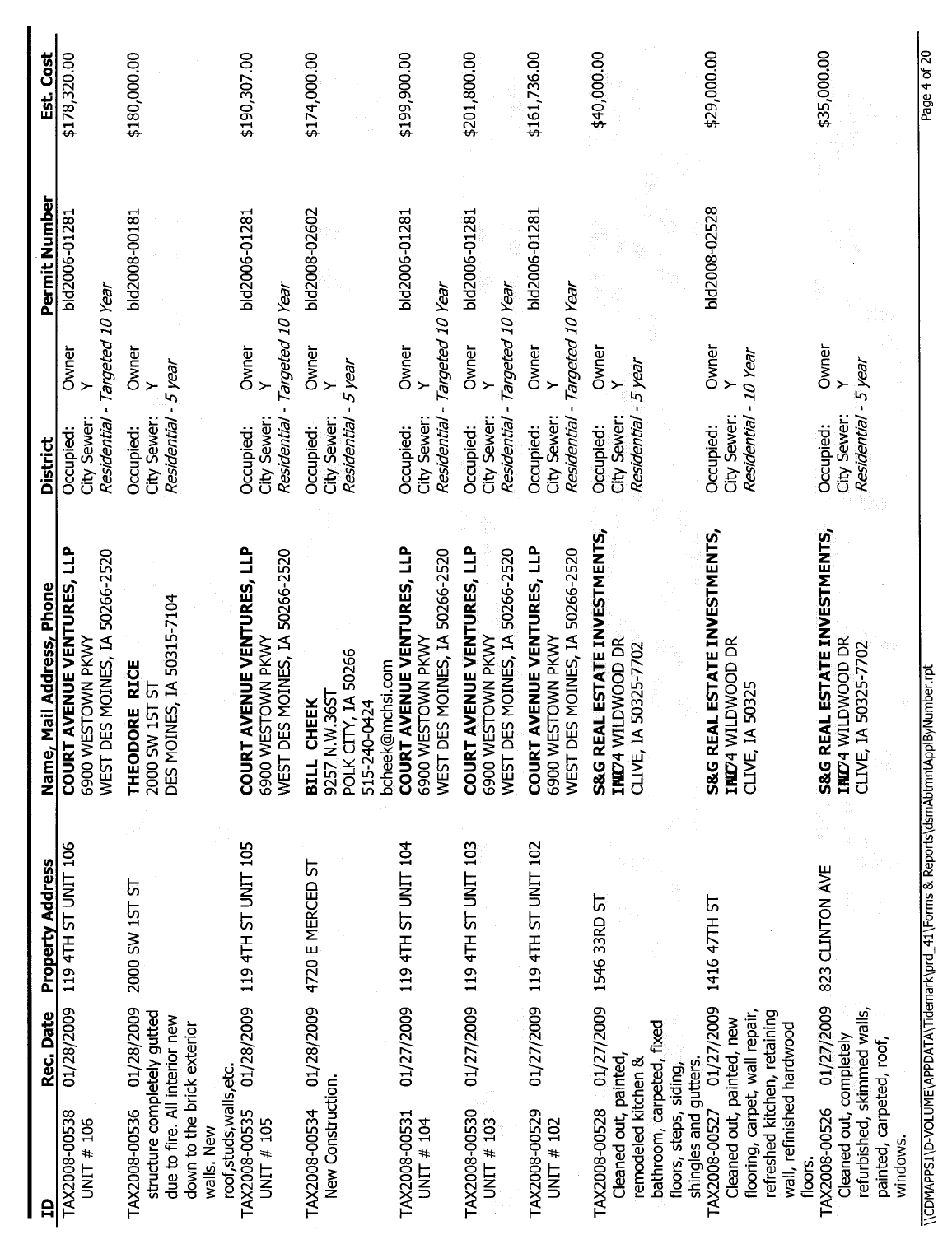| e                                                                                                                                                                             | Rec. Date  | <b>Property Address</b>        | Name, Mail Address, Phone                                                                | <b>District</b>                         |                                            | Permit Number | Est. Cost    |
|-------------------------------------------------------------------------------------------------------------------------------------------------------------------------------|------------|--------------------------------|------------------------------------------------------------------------------------------|-----------------------------------------|--------------------------------------------|---------------|--------------|
| TAX2008-00538<br>UNIT # $106$                                                                                                                                                 | 01/28/2009 | 119 4TH ST UNIT 106            | COURT AVENUE VENTURES, LLP<br>WEST DES MOINES, IA 50266-2520<br>6900 WESTOWN PKWY        | Residential<br>City Sewer<br>Occupied:  | Targeted 10 Year<br>Owner                  | bld2006-01281 | \$178,320.00 |
| structure completely gutted<br>due to fire. All interior new<br>TAX2008-00536                                                                                                 | 01/28/2009 | 2000 SW 1ST ST                 | DES MOINES, IA 50315-7104<br><b>RICE</b><br>2000 SW 1ST ST<br>THEODORE                   | Residential<br>City Sewer:<br>Occupied: | Owner<br>$-5$ year<br>$\ddot{\phantom{1}}$ | bld2008-00181 | \$180,000.00 |
| down to the brick exterior<br>roof, studs, walls, etc.<br>walls. New                                                                                                          |            |                                |                                                                                          |                                         |                                            |               |              |
| TAX2008-00535<br>UNIT # 105                                                                                                                                                   | 01/28/2009 | 119 4TH ST UNIT 105            | <b>COURT AVENUE VENTURES, LLP</b><br>WEST DES MOINES, IA 50266-2520<br>6900 WESTOWN PKWY | City Sewer:<br>Residential<br>Occupied: | Targeted 10 Year<br>Owner<br>$\geq$        | bld2006-01281 | \$190,307.00 |
| New Construction.<br>TAX2008-00534                                                                                                                                            |            | 01/28/2009 4720 E MERCED ST    | РОLK СІТҮ, IA 50266<br>515-240-0424<br>bcheek@mchsi.com<br>9257 N.W.36ST<br>BILL CHEEK   | City Sewer:<br>Residential<br>Occupied: | Owner<br>Y<br>5 year                       | bld2008-02602 | \$174,000.00 |
| TAX2008-00531<br>UNIT # 104                                                                                                                                                   |            | 01/27/2009 119 4TH ST UNIT 104 | <b>COURT AVENUE VENTURES, LLP</b><br>WEST DES MOINES, IA 50266-2520<br>6900 WESTOWN PKWY | City Sewer:<br>Residential<br>Occupied: | Targeted 10 Year<br>Owner<br>$\rightarrow$ | bld2006-01281 | \$199,900.00 |
| TAX2008-00530<br>UNIT # $103$                                                                                                                                                 | 01/27/2009 | 119 4TH ST UNIT 103            | <b>COURT AVENUE VENTURES, LLP</b><br>WEST DES MOINES, IA 50266-2520<br>6900 WESTOWN PKWY | City Sewer:<br>Residential<br>Occupied: | Targeted 10 Year<br>Owner<br>Y             | bld2006-01281 | \$201,800.00 |
| TAX2008-00529<br>UNIT # 102                                                                                                                                                   | 01/27/2009 | 119 4TH ST UNIT 102            | <b>COURT AVENUE VENTURES, LLP</b><br>WEST DES MOINES, IA 50266-2520<br>6900 WESTOWN PKWY | City Sewer:<br>Residential<br>Occupied: | Targeted 10 Year<br>Owner<br>$\rightarrow$ | bld2006-01281 | \$161,736.00 |
| TAX2008-00528 01/27/2009 1546 33RD ST<br>bathroom, carpeted, fixed<br>Cleaned out, painted,<br>remodeled kitchen &<br>floors, steps, siding,                                  |            |                                | S&G REAL ESTATE INVESTMENTS,<br>INIZ4 WILDWOOD DR<br>50325-7702<br>CLIVE, IA             | City Sewer:<br>Residential<br>Occupied: | Owner<br>5 year<br>$\rightarrow$           |               | \$40,000.00  |
| flooring, carpet, wall repair,<br>refreshed kitchen, retaining<br>Cleaned out, painted, new<br>wall, refinished hardwood<br>shingles and gutters.<br>TAX2008-00527<br>floors. | 01/27/2009 | 1416 47TH ST                   | <b>IL ESTATE INVESTMENTS,</b><br>INIZ4 WILDWOOD DR<br>50325<br>S&G REA<br>CLIVE, IA      | City Sewer:<br>Residential<br>Occupied: | Owner<br>10 Year<br>$\left. \right.$       | bld2008-02528 | \$29,000.00  |
| refurbished, skimmed walls,<br>Cleaned out, completely<br>painted, carpeted, roof,<br>TAX2008-00526<br>windows                                                                | 01/27/2009 | 823 CLINTON AVE                | S&G REAL ESTATE INVESTMENTS,<br>IND4 WILDWOOD DR<br>50325-7702<br>CLIVE, IA              | City Sewer:<br>Residential<br>Occupied: | Owner<br>5 year                            |               | \$35,000.00  |

\\CDMAPPS1\D-VOLUME\APPDATA\Tidemark\prd\_41\Forms & Reports\dsmAbtmntApplByNumber.rpt \ \CDMAPPSl \D-VOLUME\APPDATA \Tidemark\prd\_ 41 \Forms & Report\dsmAbtmntApplByNumber,rpt

Page 4 of 20 Page 4 of 20

f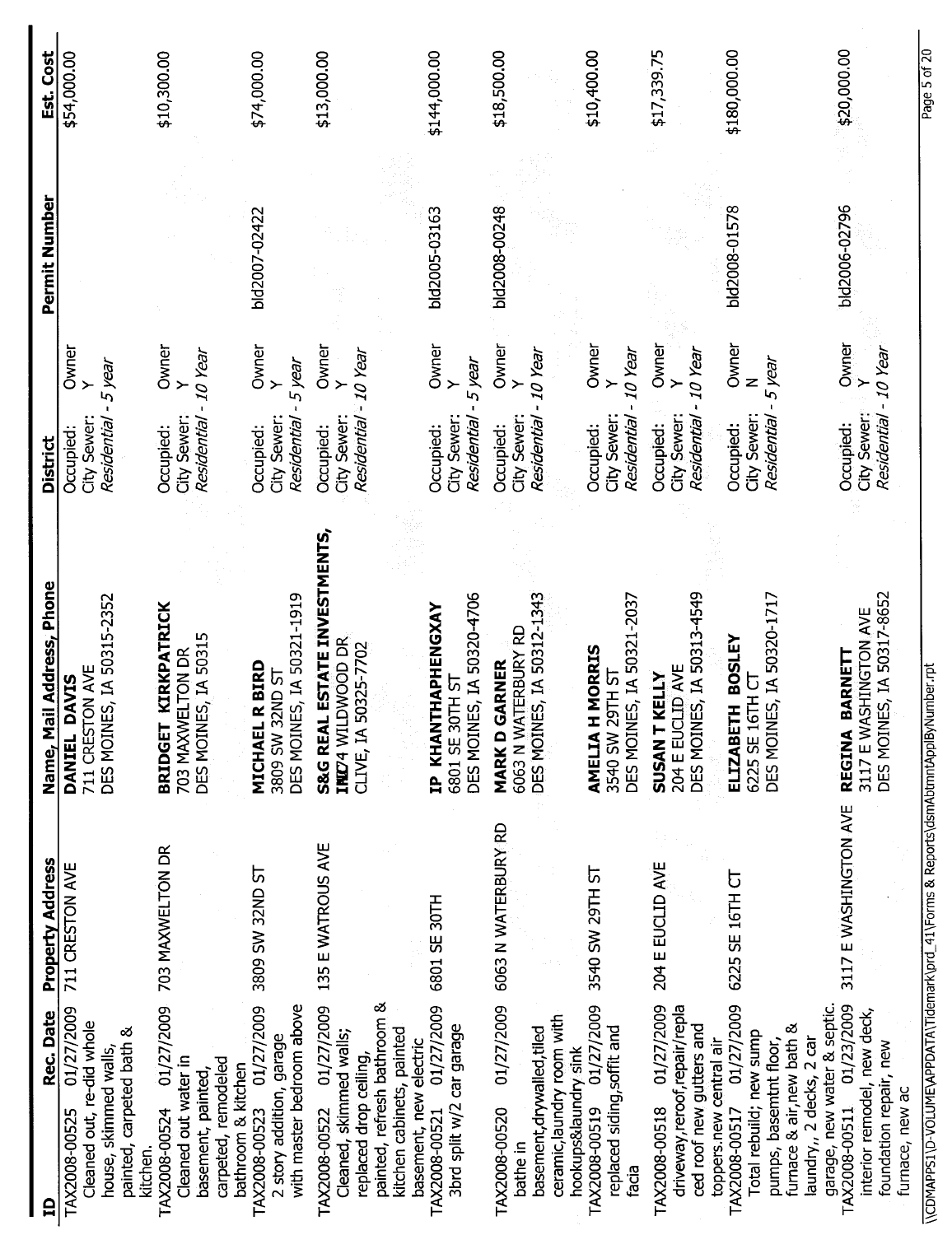| Est. Cost                 | \$54,000.00                                                                                                               | \$10,300.00                                                                                      | \$74,000.00                                                                                             | \$13,000.00                                                                                                     |                                                     | \$144,000.00                                                       | \$18,500.00                                                                                                                 | \$10,400.00                                                                | \$17,339.75                                                                               | \$180,000.00                                                                                                                                                         | \$20,000.00                                                                                                         |
|---------------------------|---------------------------------------------------------------------------------------------------------------------------|--------------------------------------------------------------------------------------------------|---------------------------------------------------------------------------------------------------------|-----------------------------------------------------------------------------------------------------------------|-----------------------------------------------------|--------------------------------------------------------------------|-----------------------------------------------------------------------------------------------------------------------------|----------------------------------------------------------------------------|-------------------------------------------------------------------------------------------|----------------------------------------------------------------------------------------------------------------------------------------------------------------------|---------------------------------------------------------------------------------------------------------------------|
| Permit Number             |                                                                                                                           |                                                                                                  | bld2007-02422                                                                                           |                                                                                                                 |                                                     | bld2005-03163                                                      | bld2008-00248                                                                                                               |                                                                            |                                                                                           | bld2008-01578                                                                                                                                                        | bld2006-02796                                                                                                       |
| <b>District</b>           | Owner<br>5 year<br>City Sewer:<br>Residential<br>Occupied:                                                                | Owner<br>Residential - 10 Year<br>≻<br>City Sewer:<br>Occupied:                                  | Owner<br>5 year<br>City Sewer:<br>Residential<br>Occupied:                                              | Owner<br>- 10 Year<br><b>Residential</b><br>City Sewer:<br>Occupied:                                            |                                                     | Owner<br>Y<br>5 year<br>Residential<br>City Sewer<br>Occupied:     | Owner<br>Y<br>- 10 Year<br><b>Residential</b><br>City Sewer:<br>Occupied:                                                   | Owner<br>10 Year<br>City Sewer:<br>Residential<br>Occupied:                | Owner<br>- 10 Year<br>$\geq$<br>City Sewer:<br>Residential<br>Occupied:                   | Owner<br>5 year<br>City Sewer:<br>Residential<br>Occupied:                                                                                                           | Owner<br>Residential - 10 Year<br>≻<br>City Sewer:<br>Occupied:                                                     |
| Name, Mail Address, Phone | DES MOINES, IA 50315-2352<br>711 CRESTON AVE<br><b>DAVIS</b><br>DANIEL                                                    | <b>KIRKPATRICK</b><br>ES, IA 50315<br>703 MAXWELTON DR<br><b>BRIDGET</b><br><b>DES MOIN</b>      | ES, IA 50321-1919<br><b>R BIRD</b><br><b>3809 SW 32ND ST</b><br>MICHAEL<br>DES MOIN                     | <b>LESTATE INVESTMENTS,</b><br>INIZ4 WILDWOOD DR<br>50325-7702<br><b>S&amp;G REAI</b><br>CLIVE, IA              |                                                     | DES MOINES, IA 50320-4706<br>IP KHANTHAPHENGXAY<br>6801 SE 30TH ST | DES MOINES, IA 50312-1343<br>6063 N WATERBURY RD<br>GARNER<br><b>MARKD</b>                                                  | DES MOINES, IA 50321-2037<br>H MORRIS<br>3540 SW 29TH ST<br><b>AMELIAI</b> | ES, IA 50313-4549<br>204 E EUCLID AVE<br>SUSAN T KELLY<br>DES MOIN                        | DES MOINES, IA 50320-1717<br>ELIZABETH BOSLEY<br>6225 SE 16TH CT                                                                                                     | DES MOINES, IA 50317-8652<br>3117 E WASHINGTON AVE<br><b>BARNETT</b><br><b>REGINA</b>                               |
| <b>Property Address</b>   | 711 CRESTON AVE                                                                                                           | 703 MAXWELTON DR                                                                                 | <b>12 GNZE WS 608E</b>                                                                                  | 135 E WATROUS AVE                                                                                               |                                                     | 6801 SE 30TH                                                       | 6063 N WATERBURY RD                                                                                                         | 3540 SW 29TH ST                                                            | 204 E EUCLID AVE                                                                          | 6225 SE 16TH CT                                                                                                                                                      | 3117 E WASHINGTON AVE                                                                                               |
| Rec. Date<br>₿            | 01/27/2009<br>Cleaned out, re-did whole<br>painted, carpeted bath &<br>house, skimmed walls,<br>TAX2008-00525<br>kitchen. | 01/27/2009<br>Cleaned out water in<br>carpeted, remodeled<br>basement, painted,<br>TAX2008-00524 | TAX2008-00523 01/27/2009<br>with master bedroom above<br>2 story addition, garage<br>bathroom & kitchen | painted, refresh bathroom &<br>01/27/2009<br>Cleaned, skimmed walls;<br>replaced drop ceiling,<br>TAX2008-00522 | kitchen cabinets, painted<br>basement, new electric | 01/27/2009<br>3brd split w/2 car garage<br>TAX2008-00521           | 01/27/2009<br>ceramic, laundry room with<br>basement, drywalled, tiled<br>hookups&laundry sink<br>TAX2008-00520<br>bathe in | 01/27/2009<br>replaced siding, soffit and<br>TAX2008-00519<br>facia        | 01/27/2009<br>driveway, reroof, repair/repla<br>ced roof new gutters and<br>TAX2008-00518 | 01/27/2009<br>furnace & air, new bath &<br>Total rebuild; new sump<br>laundry,, 2 decks, 2 car<br>pumps, basemtnt floor,<br>toppers.new central air<br>TAX2008-00517 | garage, new water & septic.<br>01/23/2009<br>interior remodel, new deck,<br>foundation repair, new<br>TAX2008-00511 |

\\CDMAPPS1\D-VOLUME\APPDATA\Tidemark\prd\_41\Forms & Reports\dsmAbtmntApplByNumber.rpt  $\setminus$ CDMAPPS1  $\setminus$ O-VOLUME $\setminus$ APPDATA  $\setminus$ CDMADA By  $\setminus$ CDMADA By Reports  $\setminus$ CDMADA By Reports  $\setminus$ CDMADA By  $\setminus$ CDMADA By  $\setminus$ CDMADA By  $\setminus$ CDMADA By  $\setminus$ CDMADA By  $\setminus$ CDMADA By  $\setminus$ CDMADA By  $\setminus$ CDMADA By

Page 5 of 20 Page 5 of 20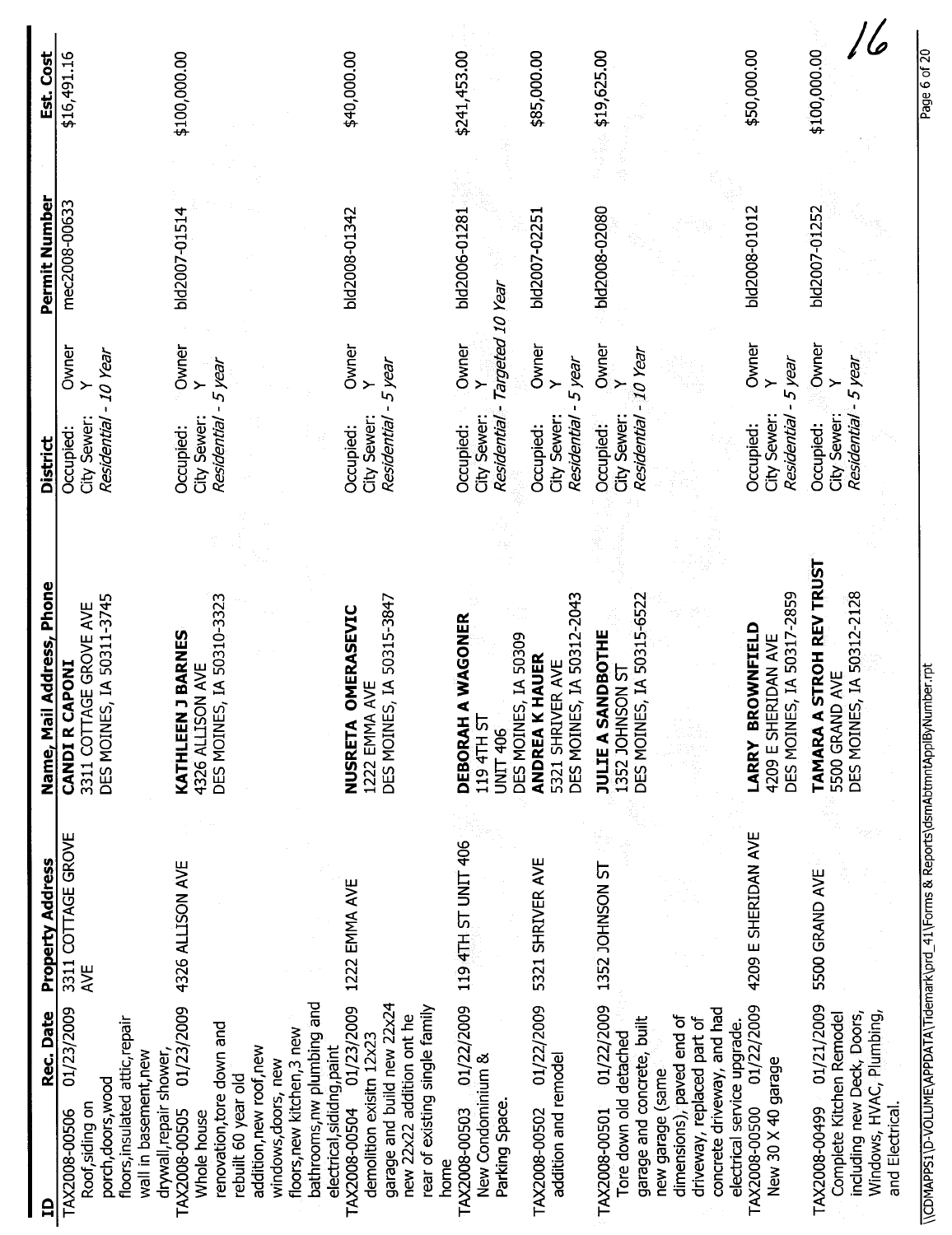| Est. Cost                    | \$16,491.16                                                                                                                      | \$100,000.00                                                                                                                                                                                                                            | \$40,000.00                                                                                                                                                                        | \$241,453.00                                                               | \$85,000.00                                                            | \$19,625.00                                                                                                                                                                                       | \$50,000.00                                                                      | \$100,000.00                                                                       |
|------------------------------|----------------------------------------------------------------------------------------------------------------------------------|-----------------------------------------------------------------------------------------------------------------------------------------------------------------------------------------------------------------------------------------|------------------------------------------------------------------------------------------------------------------------------------------------------------------------------------|----------------------------------------------------------------------------|------------------------------------------------------------------------|---------------------------------------------------------------------------------------------------------------------------------------------------------------------------------------------------|----------------------------------------------------------------------------------|------------------------------------------------------------------------------------|
| Permit Number                | mec2008-00633                                                                                                                    | bld2007-01514                                                                                                                                                                                                                           | bld2008-01342                                                                                                                                                                      | bld2006-01281                                                              | bld2007-02251                                                          | bld2008-02080                                                                                                                                                                                     | bld2008-01012                                                                    | bld2007-01252                                                                      |
|                              | Owner<br>-10 Year                                                                                                                | Owner<br>5 year<br>$\geq$                                                                                                                                                                                                               | Owner<br>Y<br>5 year                                                                                                                                                               | Residential - Targeted 10 Year<br>Owner<br>$\rightarrow$                   | Owner<br>5 year<br>$\geq$                                              | Owner<br>-10 Year<br>$\geq$                                                                                                                                                                       | Owner<br>5 year                                                                  | Owner                                                                              |
| <b>District</b>              | City Sewer:<br>Residential<br>Occupied:                                                                                          | City Sewer:<br>Residential<br>Occupied:                                                                                                                                                                                                 | City Sewer:<br>Residential<br>Occupied:                                                                                                                                            | City Sewer:<br>Occupied:                                                   | City Sewer:<br>Residential<br>Occupied:                                | City Sewer:<br>Residential<br>Occupied:                                                                                                                                                           | City Sewer:<br>Residential<br>Occupied:                                          | Residential - 5 year<br>City Sewer:<br>Occupied:                                   |
| Address, Phone<br>Name, Mail | DES MOINES, IA 50311-3745<br>3311 COTTAGE GROVE AVE<br><b>CANDI R CAPONI</b>                                                     | DES MOINES, IA 50310-3323<br>KATHLEEN J BARNES<br>4326 ALLISON AVE                                                                                                                                                                      | DES MOINES, IA 50315-3847<br>OMERASEVIC<br>AVE<br>1222 EMMA<br>NUSRETA                                                                                                             | DEBORAH A WAGONER<br>DES MOINES, IA 50309<br>119 4TH ST<br><b>UNIT 406</b> | DES MOINES, IA 50312-2043<br><b>ANDREA K HAUER</b><br>5321 SHRIVER AVE | DES MOINES, IA 50315-6522<br><b>JULIE A SANDBOTHE</b><br>1352 JOHNSON ST                                                                                                                          | DES MOINES, IA 50317-2859<br>LARRY BROWNFIELD<br>4209 E SHERIDAN AVE             | STROH REV TRUST<br>DES MOINES, IA 50312-2128<br>5500 GRAND AVE<br><b>TAMARA A</b>  |
| <b>Property Address</b>      | 3311 COTTAGE GROVE<br><b>AVE</b>                                                                                                 | 4326 ALLISON AVE                                                                                                                                                                                                                        | 1222 EMMA AVE                                                                                                                                                                      | 119 4TH ST UNIT 406                                                        | 5321 SHRIVER AVE                                                       | 1352 JOHNSON ST                                                                                                                                                                                   | 4209 E SHERIDAN AVE                                                              | 5500 GRAND AVE                                                                     |
| Rec. Date<br>$\mathbf{a}$    | 01/23/2009<br>floors, insulated attic, repair<br>wall in basement, new<br>porch, doors, wood<br>Roof, siding on<br>TAX2008-00506 | bathrooms, nw plumbing and<br>01/23/2009<br>renovation, tore down and<br>floors, new kitchen, 3 new<br>addition, new roof, new<br>drywall, repair shower,<br>windows, doors, new<br>rebuilt 60 year old<br>TAX2008-00505<br>Whole house | garage and build new 22x24<br>01/23/2009<br>rear of existing single family<br>new 22x22 addition ont he<br>demolition exisitn 12x23<br>electrical, sididng, paint<br>TAX2008-00504 | 01/22/2009<br>New Condominium &<br>Parking Space.<br>TAX2008-00503<br>home | 01/22/2009<br>addition and remodel<br>TAX2008-00502                    | 01/22/2009<br>concrete driveway, and had<br>dimensions), paved end of<br>driveway, replaced part of<br>garage and concrete, built<br>Tore down old detached<br>new garage (same)<br>TAX2008-00501 | 01/22/2009<br>electrical service upgrade.<br>New 30 X 40 garage<br>TAX2008-00500 | TAX2008-00499 01/21/2009<br>including new Deck, Doors,<br>Complete Kitchen Remodel |

\\CDMAPPS1\D-VOLUME\APPDATA\Tidemark\prd\_41\Forms & Reports\dsmAbtmntAppIByNumber.rpt Page 6 of 2012 \\CDMAPPS1\D-VOLUME\APPDATA\Tidemark\prd\_41\Forms & Reports\dsmAbtmntApplByNumber.rpt

Page 6 of 20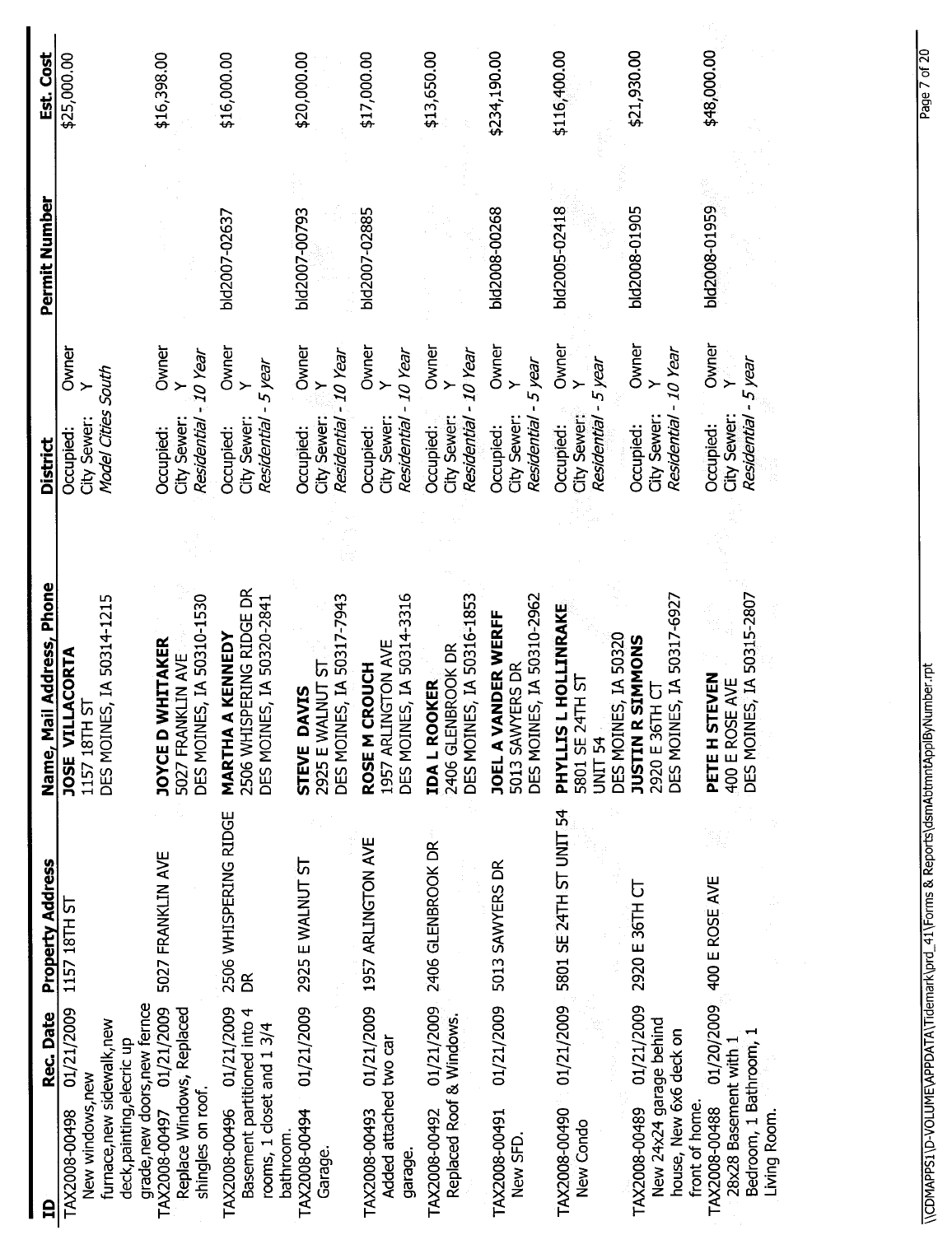| Rec. Date<br>₿                                                                                                  | Property Address            | il Address, Phone<br>Name, Ma                                                    | District                                                                    | Permit Number | Est. Cost    |
|-----------------------------------------------------------------------------------------------------------------|-----------------------------|----------------------------------------------------------------------------------|-----------------------------------------------------------------------------|---------------|--------------|
| 01/21/2009<br>furnace, new sidewalk, new<br>deck, painting, elecric up<br>New windows, new<br>TAX2008-00498     | 1157 18TH ST                | DES MOINES, IA 50314-1215<br>JOSE VILLACORTA<br>ᢑ<br>1157 18TH                   | Owner<br>Model Cities South<br>City Sewer:<br>Occupied:                     |               | \$25,000.00  |
| grade, new doors, new fernce<br>TAX2008-00497 01/21/2009<br>Replace Windows, Replaced<br>shingles on roof.      | 5027 FRANKLIN AVE           | DES MOINES, IA 50310-1530<br><b>JOYCE D WHITAKER</b><br>5027 FRANKLIN AVE        | Owner<br>Residential - 10 Year<br>City Sewer:<br>Occupied:                  |               | \$16,398.00  |
| 01/21/2009<br>Basement partitioned into 4<br>rooms, 1 closet and 1 3/4<br>TAX2008-00496                         | 2506 WHISPERING RIDGE<br>BR | 2506 WHISPERING RIDGE DR<br>DES MOINES, IA 50320-2841<br>A KENNEDY<br>MARTHA     | Owner<br>5 year<br>$\geq$<br>Residential -<br>City Sewer:<br>Occupied:      | bld2007-02637 | \$16,000.00  |
| 01/21/2009<br>TAX2008-00494<br>bathroom.<br>Garage.                                                             | 2925 E WALNUT ST            | DES MOINES, IA 50317-7943<br>2925 E WALNUT ST<br><b>STEVE DAVIS</b>              | Owner<br>Residential - 10 Year<br>City Sewer:<br>Occupied:                  | bld2007-00793 | \$20,000.00  |
| 01/21/2009<br>Added attached two car<br>TAX2008-00493<br>garage.                                                | 1957 ARLINGTON AVE          | DES MOINES, IA 50314-3316<br>1957 ARLINGTON AVE<br>ROSE M CROUCH                 | Owner<br>real OT<br>$\geq$<br>City Sewer:<br>Residential<br>Occupied:       | bld2007-02885 | \$17,000.00  |
| 01/21/2009<br>Replaced Roof & Windows.<br>TAX2008-00492                                                         | 2406 GLENBROOK DR           | DES MOINES, IA 50316-1853<br>2406 GLENBROOK DR<br><b>IDA L ROOKER</b>            | Owner<br>10 Year<br>City Sewer:<br>Residential<br>Occupied:                 |               | \$13,650.00  |
| 01/21/2009<br>TAX2008-00491<br>New SFD.                                                                         | 5013 SAWYERS DR             | DES MOINES, IA 50310-2962<br><b>JOEL A VANDER WERFF</b><br>5013 SAWYERS DR       | Owner<br>- 5 year<br>$\geq$<br>City Sewer:<br>Residential<br>Occupied:      | bld2008-00268 | \$234,190.00 |
| 01/21/2009<br>TAX2008-00490<br>New Condo                                                                        | 5801 SE 24TH ST UNIT 54     | PHYLLIS L HOLLINRAKE<br>DES MOINES, IA 50320<br>5801 SE 24TH ST<br>UNIT 54       | Owner<br>- 5 year<br>City Sewer:<br>Residential<br>Occupied:                | bld2005-02418 | \$116,400.00 |
| 01/21/2009<br>New 24x24 garage behind<br>house, New 6x6 deck on<br>TAX2008-00489                                | 2920 E 36TH CT              | DES MOINES, IA 50317-6927<br><b>SIMMONS</b><br>2920 E 36TH CT<br><b>JUSTIN R</b> | Owner<br>Residential - 10 Year<br>$\rightarrow$<br>City Sewer:<br>Occupied: | bld2008-01905 | \$21,930.00  |
| 01/20/2009<br>Bedroom, 1 Bathroom, 1<br>28x28 Basement with 1<br>front of home.<br>TAX2008-00488<br>Living Room | 400 E ROSE AVE              | ES, IA 50315-2807<br><b>PETE H STEVEN</b><br>400 E ROSE AVE<br>DES MOIN          | Owner<br>Residential - 5 year<br>City Sewer:<br>Occupied:                   | bld2008-01959 | \$48,000.00  |

## \\CDMAPPS1\D-VOLUME\APPDATA\Tidemark\prd\_41\Forms & Reports\dsmAbtmntAppIByNumber.rpt Page 7 of 20 \\CDMAPPS1\D-VOLUME\APPDATA\Tidemark\prd\_41\Forms & Reports\dsmAbtmntApplByNumber.rpt

Page 7 of 20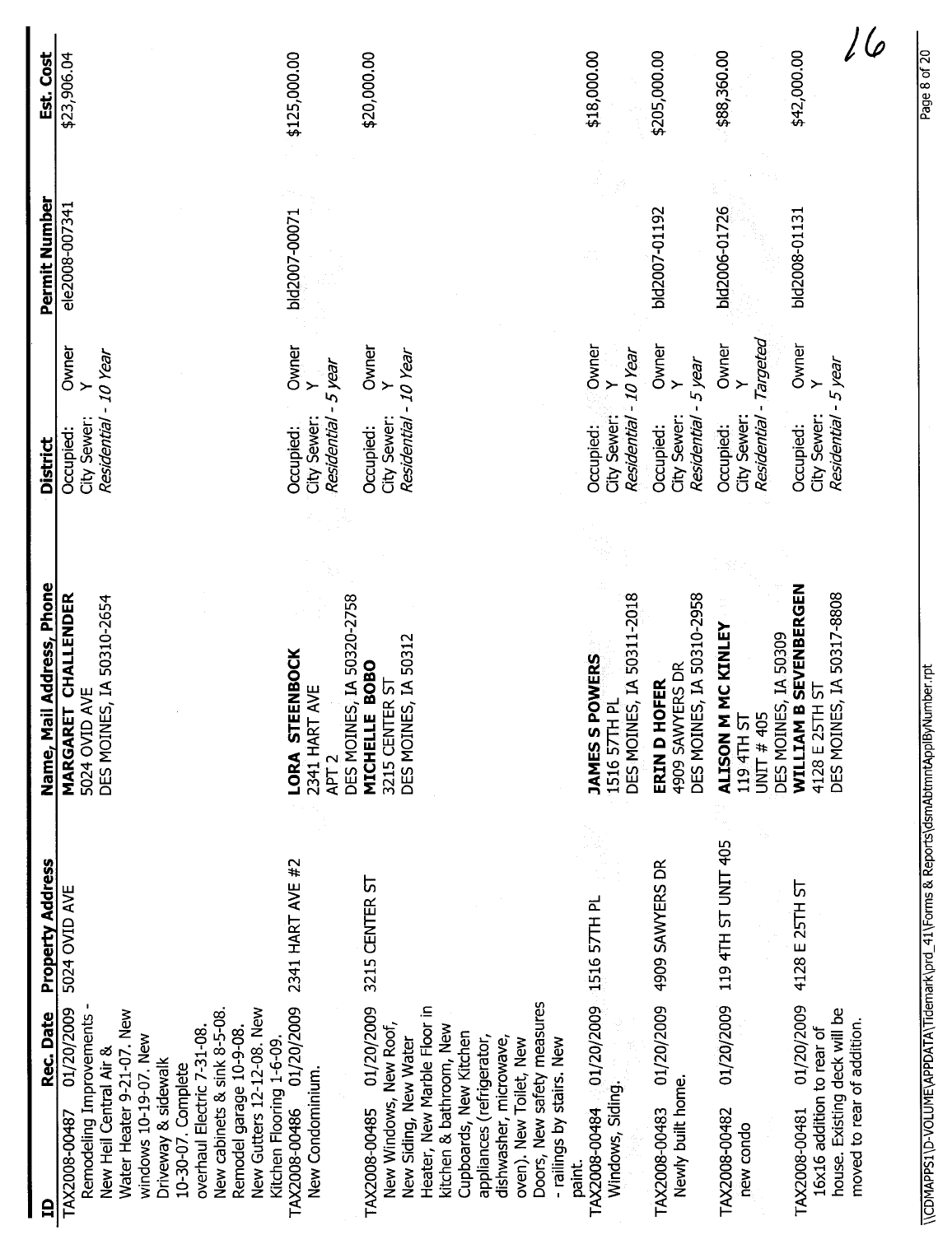| Est. Cost                 | \$23,906.04                                                                                                                                                                                                                                                                                                                          | \$125,000.00                                                                     | \$20,000.00                                                                                                                                                                                                                                                                                                    | \$18,000.00                                                                    | \$205,000.00                                                 | \$88,360.00                                                                     | \$42,000.00                                                                                                            |
|---------------------------|--------------------------------------------------------------------------------------------------------------------------------------------------------------------------------------------------------------------------------------------------------------------------------------------------------------------------------------|----------------------------------------------------------------------------------|----------------------------------------------------------------------------------------------------------------------------------------------------------------------------------------------------------------------------------------------------------------------------------------------------------------|--------------------------------------------------------------------------------|--------------------------------------------------------------|---------------------------------------------------------------------------------|------------------------------------------------------------------------------------------------------------------------|
|                           |                                                                                                                                                                                                                                                                                                                                      |                                                                                  |                                                                                                                                                                                                                                                                                                                |                                                                                |                                                              |                                                                                 |                                                                                                                        |
| Permit Number             | ele2008-007341                                                                                                                                                                                                                                                                                                                       | bld2007-00071                                                                    |                                                                                                                                                                                                                                                                                                                |                                                                                | bld2007-01192                                                | bld2006-01726                                                                   | bld2008-01131                                                                                                          |
|                           | Owner                                                                                                                                                                                                                                                                                                                                | Owner<br>$\rightarrow$                                                           | Owner<br>Y                                                                                                                                                                                                                                                                                                     | Owner<br>Y<br>- 10 Year                                                        | Owner<br>Y<br>-5 year                                        | - Targeted<br>Owner<br>$\ddot{\phantom{1}}$                                     | Owner<br>$\geq$                                                                                                        |
| <b>District</b>           | Residential - 10 Year<br>City Sewer:<br>Occupied:                                                                                                                                                                                                                                                                                    | Residential - 5 year<br>City Sewer:<br>Occupied:                                 | Residential - 10 Year<br>City Sewer:<br>Occupied:                                                                                                                                                                                                                                                              | City Sewer:<br>Residential<br>Occupied:                                        | City Sewer:<br>Residential<br>Occupied:                      | Residential<br>City Sewer:<br>Occupied:                                         | Residential - 5 year<br>City Sewer:<br>Occupied:                                                                       |
| Name, Mail Address, Phone | MARGARET CHALLENDER<br>DES MOINES, IA 50310-2654<br>5024 OVID AVE                                                                                                                                                                                                                                                                    | DES MOINES, IA 50320-2758<br>LORA STEENBOCK<br>2341 HART AVE<br>APT <sub>2</sub> | DES MOINES, IA 50312<br>MICHELLE BOBO<br>3215 CENTER ST                                                                                                                                                                                                                                                        | DES MOINES, IA 50311-2018<br><b>POWERS</b><br>립<br>1516 57TH<br><b>JAMESSI</b> | DES MOINES, IA 50310-2958<br>4909 SAWYERS DR<br>ERIN D HOFER | <b>ALISON M MC KINLEY</b><br>DES MOINES, IA 50309<br>119 4TH ST<br>UNIT $#$ 405 | WILLIAM B SEVENBERGEN<br>DES MOINES, IA 50317-8808<br>4128 E 25TH ST                                                   |
| Property Address          | 5024 OVID AVE                                                                                                                                                                                                                                                                                                                        | 2341 HART AVE #2                                                                 | 3215 CENTER ST                                                                                                                                                                                                                                                                                                 | 01/20/2009 1516 57TH PL                                                        | 01/20/2009 4909 SAWYERS DR                                   | 119 4TH ST UNIT 405                                                             | 4128 E 25TH ST                                                                                                         |
| Rec. Date<br>$\mathbf{a}$ | New cabinets & sink 8-5-08.<br>New Gutters 12-12-08. New<br>01/20/2009<br>Water Heater 9-21-07. New<br>Remodeling Improvements<br>Remodel garage 10-9-08.<br>overhaul Electric 7-31-08.<br>windows 10-19-07. New<br>Kitchen Flooring 1-6-09.<br>New Heil Central Air &<br>Driveway & sidewalk<br>10-30-07. Complete<br>TAX2008-00487 | 01/20/2009<br>New Condominium.<br>TAX2008-00486                                  | Doors, New safety measures<br>01/20/2009<br>Heater, New Marble Floor in<br>New Windows, New Roof,<br>kitchen & bathroom, New<br>Cupboards, New Kitchen<br>New Siding, New Water<br>appliances (refrigerator,<br>dishwasher, microwave,<br>- railings by stairs. New<br>oven). New Toilet, New<br>TAX2008-00485 | Windows, Siding.<br>TAX2008-00484<br>paint.                                    | Newly built home<br>TAX2008-00483                            | 01/20/2009<br>TAX2008-00482<br>new condo                                        | 01/20/2009<br>house. Existing deck will be<br>moved to rear of addition.<br>16x16 addition to rear of<br>TAX2008-00481 |

\\CDMAPPS1\D-VOLUME\APPDATA\Tidemark\prd\_41\Forms & Reports\dsmAbtmntApplByNumber.rpt Page 8 of 20 of 20 of 20 \\CDMAPPS1\D-VOLUME\APPDATA\Tidemark\prd\_41\Forms & Reports\dsmAbtmntApplByNumber.rpt

Page 8 of 20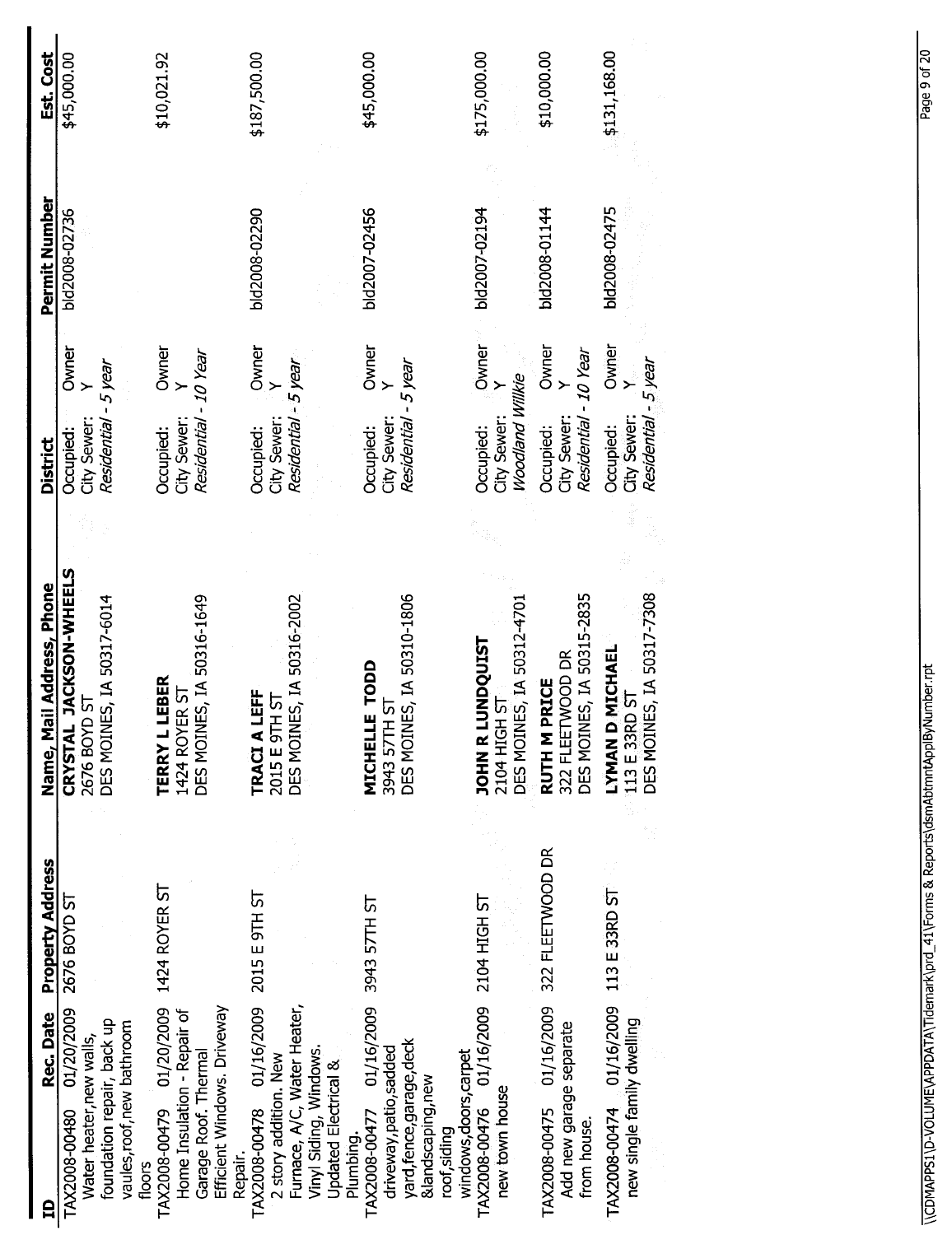| Est. Cost                 | \$45,000.00                                                                                                                   | \$10,021.92                                                                                                               | \$187,500.00                                                                                                                                              | \$45,000.00                                                                                                             | \$175,000.00                                                            | \$10,000.00                                                           | \$131,168.00                                                            |
|---------------------------|-------------------------------------------------------------------------------------------------------------------------------|---------------------------------------------------------------------------------------------------------------------------|-----------------------------------------------------------------------------------------------------------------------------------------------------------|-------------------------------------------------------------------------------------------------------------------------|-------------------------------------------------------------------------|-----------------------------------------------------------------------|-------------------------------------------------------------------------|
| Permit Number             | bld2008-02736                                                                                                                 |                                                                                                                           | bld2008-02290                                                                                                                                             | bld2007-02456                                                                                                           | bld2007-02194                                                           | bld2008-01144                                                         | bld2008-02475                                                           |
|                           | Owner                                                                                                                         | Owner                                                                                                                     | Owner                                                                                                                                                     | Owner                                                                                                                   | Owner                                                                   | Owner<br>>                                                            | Owner                                                                   |
| District                  | Residential - 5 year<br>City Sewer:<br>Occupied:                                                                              | Residential - 10 Year<br>City Sewer:<br>Occupied:                                                                         | Residential - 5 year<br>City Sewer:<br>Occupied:                                                                                                          | Residential - 5 year<br>City Sewer:<br>Occupied:                                                                        | Woodland Willkie<br>City Sewer:<br>Occupied:                            | Residential - 10 Year<br>City Sewer:<br>Occupied:                     | Residential - 5 year<br>City Sewer:<br>Occupied:                        |
|                           |                                                                                                                               |                                                                                                                           |                                                                                                                                                           |                                                                                                                         |                                                                         |                                                                       |                                                                         |
| Name, Mail Address, Phone | CRYSTAL JACKSON-WHEELS<br>DES MOINES, IA 50317-6014<br><b>2676 BOYD ST</b>                                                    | DES MOINES, IA 50316-1649<br><b>TERRY L LEBER</b><br>1424 ROYER ST                                                        | DES MOINES, IA 50316-2002<br>LEFF<br>2015 E 9TH ST<br><b>TRACIA</b>                                                                                       | DES MOINES, IA 50310-1806<br>MICHELLE TODD<br>TH ST<br>3943 571                                                         | DES MOINES, IA 50312-4701<br><b>JOHN R LUNDQUIST</b><br>2104 HIGH ST    | DES MOINES, IA 50315-2835<br>322 FLEETWOOD DR<br>RUTH M PRICE         | DES MOINES, IA 50317-7308<br><b>D MICHAEL</b><br>113 E 33RD ST<br>LYMAN |
| Property Address          | 2676 BOYD ST                                                                                                                  | 1424 ROYER ST                                                                                                             | 2015 E 9TH ST                                                                                                                                             | 3943 57TH ST                                                                                                            | 2104 HIGH ST                                                            | 322 FLEETWOOD DR                                                      | 113 E 33RD ST                                                           |
| Rec. Date<br>₿            | 01/20/2009<br>foundation repair, back up<br>vaules, roof, new bathroom<br>Water heater, new walls,<br>TAX2008-00480<br>floors | Efficient Windows. Driveway<br>TAX2008-00479 01/20/2009<br>Home Insulation - Repair of<br>Garage Roof. Thermal<br>Repair. | Furnace, A/C, Water Heater,<br>TAX2008-00478 01/16/2009<br>Vinyl Siding, Windows<br>2 story addition. New<br><b>Updated Electrical &amp;</b><br>Plumbing. | 01/16/2009<br>yard, fence, garage, deck<br>driveway, patio, sadded<br>&landscaping, new<br>TAX2008-00477<br>roof,siding | 01/16/2009<br>windows, doors, carpet<br>new town house<br>TAX2008-00476 | 01/16/2009<br>Add new garage separate<br>TAX2008-00475<br>from house. | 01/16/2009<br>new single family dwelling<br>TAX2008-00474               |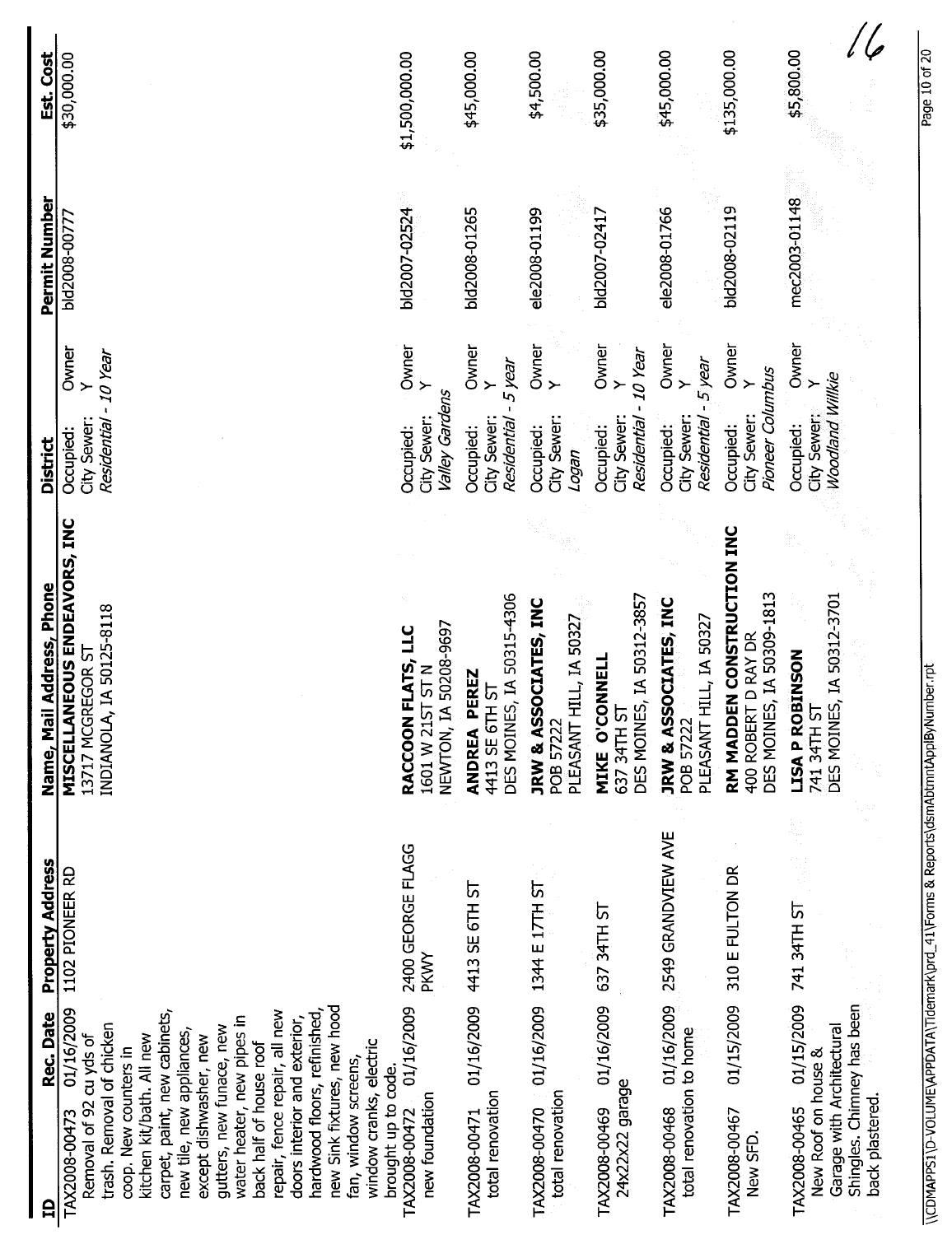\ \CDMAPPS1 \D-VOLUME\APPDATA\Tidemark\prd\_ 41 \Forms & Reports\dsmAbtmntApplByNumber,rpt Page 10 of 20\\CDMAPPS1\D-VOLUME\APPDATA\Tidemark\prd\_41\Forms & Reports\dsmAbtmntApplByNumber.rpt

Page 10 of 20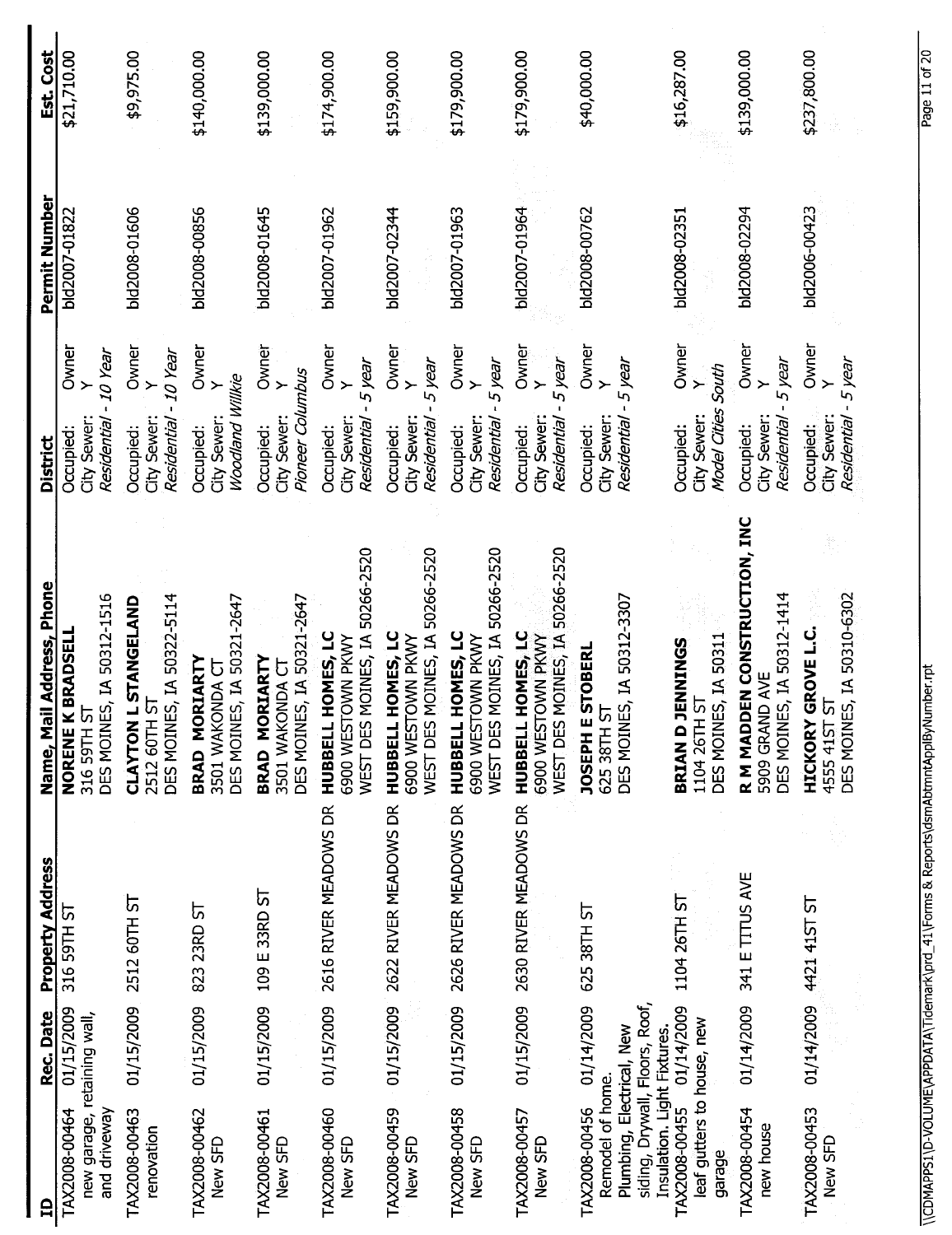| Name, M<br><b>Property Address</b><br>Rec. Date                                                                         |  | ail Address, Phone                                                                   | <b>District</b>                                  |                                           | Permit Number | Est. Cost    |
|-------------------------------------------------------------------------------------------------------------------------|--|--------------------------------------------------------------------------------------|--------------------------------------------------|-------------------------------------------|---------------|--------------|
| 316 59TH ST<br>01/15/2009<br>new garage, retaining wall,                                                                |  | DES MOINES, IA 50312-1516<br><b>K BRADSELI</b><br>5<br>NORENE<br>316 59TH            | Residential - 10 Year<br>City Sewer<br>Occupied: | Owner                                     | bld2007-01822 | \$21,710.00  |
| 2512 60TH ST<br>01/15/2009                                                                                              |  | DES MOINES, IA 50322-5114<br>CLAYTON L STANGELAND<br>2512 60TH ST                    | City Sewer:<br>Residential<br>Occupied:          | Owner<br>- 10 Year<br>$\rightarrow$       | bld2008-01606 | \$9,975.00   |
| 823 23RD ST<br>01/15/2009                                                                                               |  | DES MOINES, IA 50321-2647<br>ORIARTY<br>3501 WAKONDA CT<br>BRAD M                    | Woodland Willkie<br>City Sewer:<br>Occupied:     | Owner<br>$\ddot{\phantom{1}}$             | bld2008-00856 | \$140,000.00 |
| 109 E 33RD ST<br>01/15/2009                                                                                             |  | DES MOINES, IA 50321-2647<br>ORIARTY<br>3501 WAKONDA CT<br>BRAD M                    | Pioneer Columbus<br>City Sewer:<br>Occupied:     | Owner<br>$\rightarrow$                    | bld2008-01645 | \$139,000.00 |
| 2616 RIVER MEADOWS DR<br>01/15/2009                                                                                     |  | WEST DES MOINES, IA 50266-2520<br>L HOMES, LC<br>6900 WESTOWN PKWY<br><b>HUBBELI</b> | Residential - 5 year<br>City Sewer:<br>Occupied: | Owner<br>$\rightarrow$                    | bld2007-01962 | \$174,900.00 |
| 01/15/2009 2622 RIVER MEADOWS DR                                                                                        |  | WEST DES MOINES, IA 50266-2520<br>HUBBELL HOMES, LC<br>6900 WESTOWN PKWY             | City Sewer:<br>Residential<br>Occupied:          | Owner<br>- 5 year<br>$\ddot{\phantom{1}}$ | bld2007-02344 | \$159,900.00 |
| 2626 RIVER MEADOWS DR<br>01/15/2009                                                                                     |  | WEST DES MOINES, IA 50266-2520<br>HUBBELL HOMES, LC<br>6900 WESTOWN PKWY             | City Sewer:<br>Residential<br>Occupied:          | Owner<br>- 5 year<br>$\ddot{\phantom{1}}$ | bld2007-01963 | \$179,900.00 |
| 01/15/2009 2630 RIVER MEADOWS DR                                                                                        |  | WEST DES MOINES, IA 50266-2520<br>HUBBELL HOMES, LC<br>6900 WESTOWN PKWY             | City Sewer:<br>Residential<br>Occupied:          | Owner<br>5 year<br>$\ddot{\phantom{1}}$   | bld2007-01964 | \$179,900.00 |
| 625 38TH ST<br>01/14/2009<br>siding, Dryvall, Floors, Roof,<br>Plumbing, Electrical, New<br>Insulation. Light Fixtures. |  | DES MOINES, IA 50312-3307<br><b>ESTOBERL</b><br>5<br>625 38TH<br><b>JOSEPH</b>       | Residential - 5 year<br>City Sewer:<br>Occupied: | Owner<br>$\rightarrow$                    | bld2008-00762 | \$40,000.00  |
| 1104 26TH ST<br>01/14/2009<br>leaf gutters to house, new                                                                |  | DES MOINES, IA 50311<br><b>JENNINGS</b><br>1104 26TH ST<br><b>BRIAND</b>             | Model Cities South<br>City Sewer:<br>Occupied:   | Owner<br>$\ddot{}$                        | bld2008-02351 | \$16,287.00  |
| 341 E TITUS AVE<br>01/14/2009                                                                                           |  | R M MADDEN CONSTRUCTION, INC<br>DES MOINES, IA 50312-1414<br>5909 GRAND AVE          | City Sewer:<br>Residential<br>Occupied:          | Owner<br>5 year<br>$\ddot{\phantom{1}}$   | bld2008-02294 | \$139,000.00 |
| 01/14/2009 4421 415T ST                                                                                                 |  | DES MOINES, IA 50310-6302<br><b>HICKORY GROVE L.C.</b><br>r<br>21<br>4555 415        | Residential - 5 year<br>City Sewer:<br>Occupied: | Owner                                     | bld2006-00423 | \$237,800.00 |

\ \CDMAPPS1 \D-VOLUME\APPDATA \Tidemark\prd\_ 41 \Forms & Reports\dsmAbtmntAppIByNumber.rpt Page 11 of 20\\CDMAPPS1\D-VOLUME\APPDATA\Tidemark\prd\_41\Forms & Reports\dsmAbtmntApplByNumber.rpt

Page 11 of 20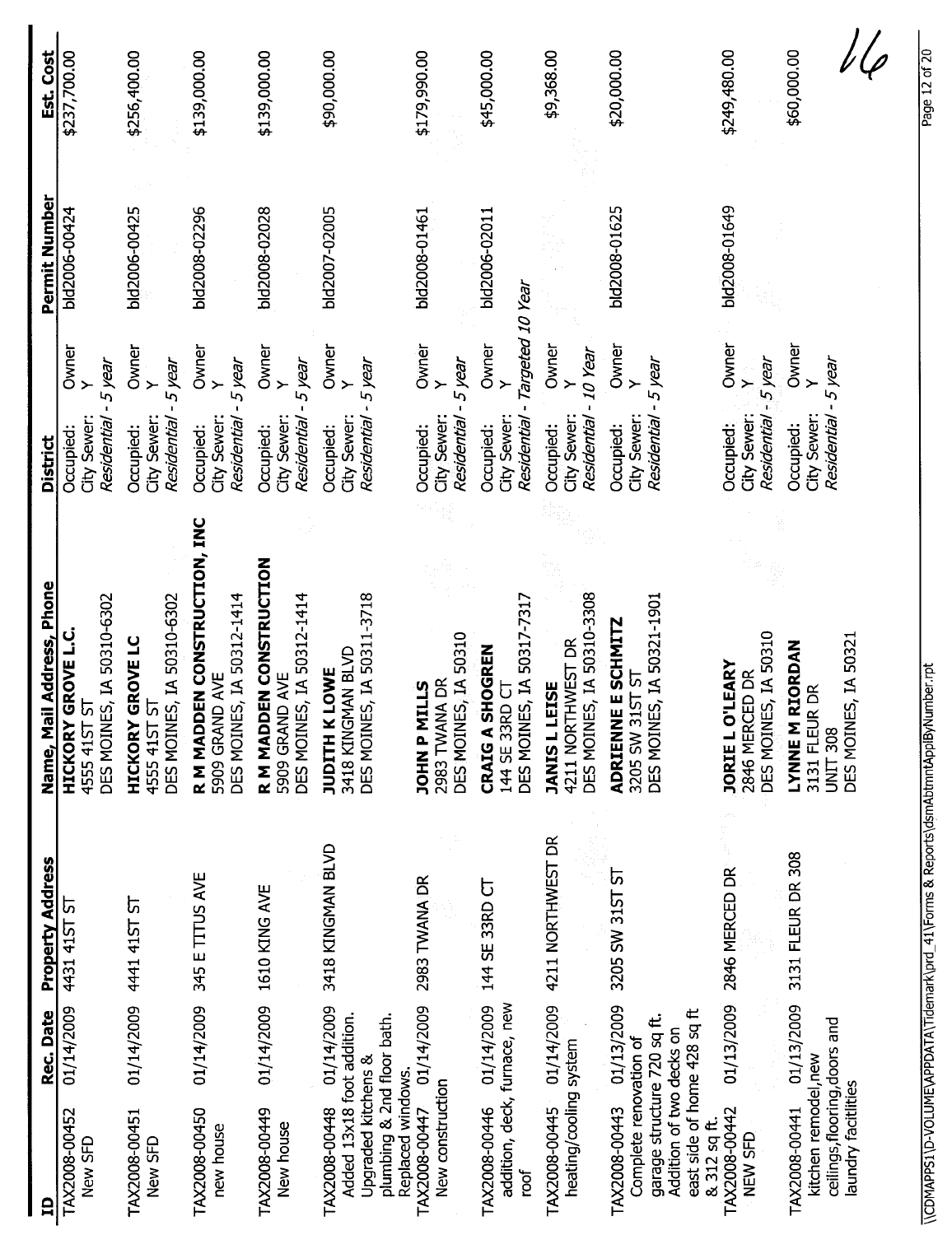| 吕                                                                                                                                                 | Rec. Date  | <b>Property Address</b> | Name, Mail Address, Phone                                                                        | <b>District</b>                                  |                                              | Permit Number | Est. Cost    |
|---------------------------------------------------------------------------------------------------------------------------------------------------|------------|-------------------------|--------------------------------------------------------------------------------------------------|--------------------------------------------------|----------------------------------------------|---------------|--------------|
| TAX2008-00452<br>New SFD                                                                                                                          | 01/14/2009 | 4431 41ST ST            | DES MOINES, IA 50310-6302<br><b>HICKORY GROVE L.C</b><br>৮<br>4555 415T                          | Residential - 5 year<br>City Sewer:<br>Occupied: | Owner                                        | bld2006-00424 | \$237,700.00 |
| TAX2008-00451<br>New SFD                                                                                                                          | 01/14/2009 | 441 4157 57             | DES MOINES, IA 50310-6302<br><b>GROVE LC</b><br>ს<br>HICKORY<br>4555 415T                        | City Sewer:<br>Residential<br>Occupied:          | Owner<br>Y<br>- 5 year                       | bld2006-00425 | \$256,400.00 |
| TAX2008-00450<br>new house                                                                                                                        | 01/14/2009 | 345 E TITUS AVE         | R M MADDEN CONSTRUCTION, INC<br>DES MOINES, IA 50312-1414<br>5909 GRAND AVE                      | City Sewer:<br>Residential<br>Occupied:          | Owner<br>- 5 year<br>$\ddot{\phantom{1}}$    | bld2008-02296 | \$139,000.00 |
| TAX2008-00449<br>New house                                                                                                                        | 01/14/2009 | 1610 KING AVE           | R M MADDEN CONSTRUCTION<br>DES MOINES, IA 50312-1414<br>5909 GRAND AVE                           | City Sewer:<br>Residential<br>Occupied:          | Owner<br>Y<br>-5 year                        | bld2008-02028 | \$139,000.00 |
| Added 13x18 foot addition.<br>plumbing & 2nd floor bath.<br><b>Upgraded kitchens &amp;</b><br>Replaced windows<br>TAX2008-00448                   | 01/14/2009 | 3418 KINGMAN BLVD       | DES MOINES, IA 50311-3718<br>3418 KINGMAN BLVD<br>JUDITH K LOWE                                  | Residential - 5 year<br>City Sewer:<br>Occupied: | Owner                                        | bld2007-02005 | \$90,000.00  |
| New construction<br>TAX2008-00447                                                                                                                 | 01/14/2009 | 2983 TWANA DR           | DES MOINES, IA 50310<br>2983 TWANA DR<br><b>JOHN P MILLS</b>                                     | City Sewer:<br>Residential<br>Occupied:          | Owner<br>5 year                              | bld2008-01461 | \$179,990.00 |
| addition, deck, furnace, new<br>TAX2008-00446<br>roof                                                                                             | 01/14/2009 | 144 SE 33RD CT          | DES MOINES, IA 50317-7317<br><b>CRAIG A SHOGREN</b><br>144 SE 33RD CT                            | City Sewer:<br>Residential<br>Occupied:          | - Targeted 10 Year<br>Owner<br>$\rightarrow$ | bld2006-02011 | \$45,000.00  |
| heating/cooling system<br>TAX2008-00445                                                                                                           | 01/14/2009 | 4211 NORTHWEST DR       | DES MOINES, IA 50310-3308<br>4211 NORTHWEST DR<br><b>JANIS L LEISE</b>                           | City Sewer:<br>Residential<br>Occupied:          | Owner<br>- 10 Year                           |               | \$9,368.00   |
| east side of home 428 sq ft<br>garage structure 720 sq ft.<br>Addition of two decks on<br>Complete renovation of<br>TAX2008-00443<br>& 312 sq ft. | 01/13/2009 | 3205 SW 31ST ST         | DES MOINES, IA 50321-1901<br>ADRIENNE E SCHMITZ<br>3205 SW 31ST ST                               | Residential - 5 year<br>City Sewer:<br>Occupied: | Owner<br>$\rightarrow$                       | bld2008-01625 | \$20,000.00  |
| TAX2008-00442<br>NEW SFD                                                                                                                          | 01/13/2009 | 2846 MERCED DR          | DES MOINES, IA 50310<br><b>JORIE LO'LEARY</b><br>2846 MERCED DR                                  | City Sewer:<br>Residential<br>Occupied:          | Owner<br>$-5$ year<br>$\frac{1}{2}$          | bld2008-01649 | \$249,480.00 |
| ceilings, flooring, doors and<br>kitchen remodel, new<br>laundry facitities<br>TAX2008-00441                                                      | 01/13/2009 | 3131 FLEUR DR 308       | DES MOINES, IA 50321<br><b>RIORDAN</b><br>IR DR<br><b>NANKTN</b><br>3131 FLEU<br><b>UNIT 308</b> | Residential - 5 year<br>City Sewer:<br>Occupied: | Owner                                        |               | \$60,000.00  |

\\CDMAPPS1\D-VOLUME\APPDATA\Tidemark\prd\_41\Forms & Reports\dsmAbtmntApplByNumber.rpt \\CDMAPPS1\D-VOLUME\APPDATA\Tidemark\prd\_41\Forms & Reports\dsmAbtmntApplByNumber.rpt

Page 12 of 20